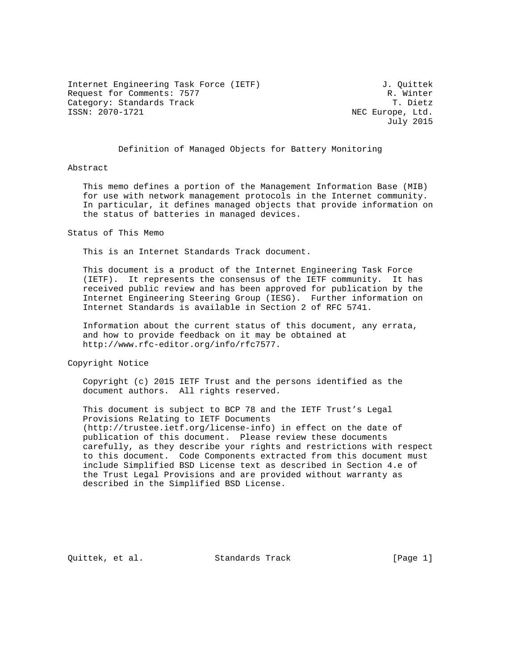Internet Engineering Task Force (IETF) 3. Quittek Request for Comments: 7577<br>Category: Standards Track Category: T. Dietz Category: Standards Track<br>ISSN: 2070-1721

NEC Europe, Ltd. July 2015

### Definition of Managed Objects for Battery Monitoring

#### Abstract

 This memo defines a portion of the Management Information Base (MIB) for use with network management protocols in the Internet community. In particular, it defines managed objects that provide information on the status of batteries in managed devices.

Status of This Memo

This is an Internet Standards Track document.

 This document is a product of the Internet Engineering Task Force (IETF). It represents the consensus of the IETF community. It has received public review and has been approved for publication by the Internet Engineering Steering Group (IESG). Further information on Internet Standards is available in Section 2 of RFC 5741.

 Information about the current status of this document, any errata, and how to provide feedback on it may be obtained at http://www.rfc-editor.org/info/rfc7577.

Copyright Notice

 Copyright (c) 2015 IETF Trust and the persons identified as the document authors. All rights reserved.

 This document is subject to BCP 78 and the IETF Trust's Legal Provisions Relating to IETF Documents (http://trustee.ietf.org/license-info) in effect on the date of publication of this document. Please review these documents carefully, as they describe your rights and restrictions with respect to this document. Code Components extracted from this document must include Simplified BSD License text as described in Section 4.e of the Trust Legal Provisions and are provided without warranty as described in the Simplified BSD License.

Quittek, et al. Standards Track [Page 1]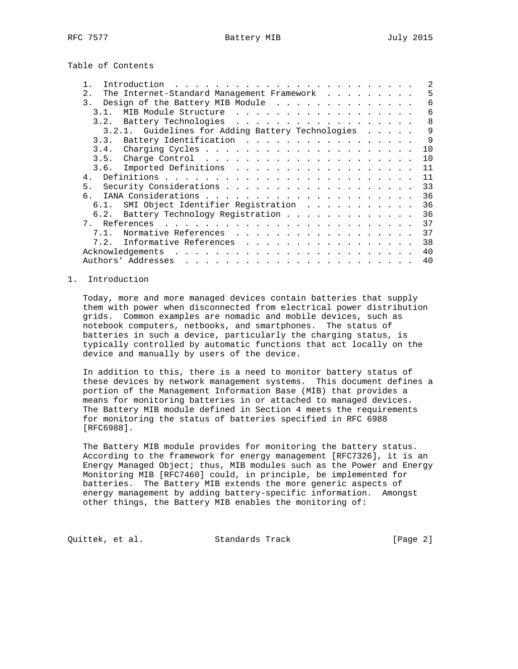Table of Contents

| Introduction                                                                                                                                                                                                                                                                                                                                                                                                                                                                                                       | 2  |
|--------------------------------------------------------------------------------------------------------------------------------------------------------------------------------------------------------------------------------------------------------------------------------------------------------------------------------------------------------------------------------------------------------------------------------------------------------------------------------------------------------------------|----|
| The Internet-Standard Management Framework<br>2.                                                                                                                                                                                                                                                                                                                                                                                                                                                                   | 5  |
| Design of the Battery MIB Module<br>$\overline{3}$ .                                                                                                                                                                                                                                                                                                                                                                                                                                                               | 6  |
| MIB Module Structure<br>3.1.                                                                                                                                                                                                                                                                                                                                                                                                                                                                                       | 6  |
| Battery Technologies<br>3.2.                                                                                                                                                                                                                                                                                                                                                                                                                                                                                       | 8  |
| 3.2.1. Guidelines for Adding Battery Technologies                                                                                                                                                                                                                                                                                                                                                                                                                                                                  | 9  |
| 3.3. Battery Identification                                                                                                                                                                                                                                                                                                                                                                                                                                                                                        | 9  |
|                                                                                                                                                                                                                                                                                                                                                                                                                                                                                                                    | 10 |
|                                                                                                                                                                                                                                                                                                                                                                                                                                                                                                                    | 10 |
|                                                                                                                                                                                                                                                                                                                                                                                                                                                                                                                    | 11 |
| $\overline{4}$                                                                                                                                                                                                                                                                                                                                                                                                                                                                                                     | 11 |
| 5.                                                                                                                                                                                                                                                                                                                                                                                                                                                                                                                 | 33 |
|                                                                                                                                                                                                                                                                                                                                                                                                                                                                                                                    | 36 |
| SMI Object Identifier Registration<br>6.1.                                                                                                                                                                                                                                                                                                                                                                                                                                                                         | 36 |
| Battery Technology Registration<br>6.2.                                                                                                                                                                                                                                                                                                                                                                                                                                                                            | 36 |
|                                                                                                                                                                                                                                                                                                                                                                                                                                                                                                                    | 37 |
| Normative References<br>$7.1$ .                                                                                                                                                                                                                                                                                                                                                                                                                                                                                    | 37 |
| Informative References<br>7.2.                                                                                                                                                                                                                                                                                                                                                                                                                                                                                     | 38 |
|                                                                                                                                                                                                                                                                                                                                                                                                                                                                                                                    | 40 |
| Authors' Addresses<br>$\mathcal{L}_{\mathcal{A}}(\mathcal{A}) = \mathcal{L}_{\mathcal{A}}(\mathcal{A}) = \mathcal{L}_{\mathcal{A}}(\mathcal{A}) = \mathcal{L}_{\mathcal{A}}(\mathcal{A}) = \mathcal{L}_{\mathcal{A}}(\mathcal{A}) = \mathcal{L}_{\mathcal{A}}(\mathcal{A}) = \mathcal{L}_{\mathcal{A}}(\mathcal{A}) = \mathcal{L}_{\mathcal{A}}(\mathcal{A}) = \mathcal{L}_{\mathcal{A}}(\mathcal{A}) = \mathcal{L}_{\mathcal{A}}(\mathcal{A}) = \mathcal{L}_{\mathcal{A}}(\mathcal{A}) = \mathcal{L}_{\mathcal{A$ | 40 |

#### 1. Introduction

 Today, more and more managed devices contain batteries that supply them with power when disconnected from electrical power distribution grids. Common examples are nomadic and mobile devices, such as notebook computers, netbooks, and smartphones. The status of batteries in such a device, particularly the charging status, is typically controlled by automatic functions that act locally on the device and manually by users of the device.

 In addition to this, there is a need to monitor battery status of these devices by network management systems. This document defines a portion of the Management Information Base (MIB) that provides a means for monitoring batteries in or attached to managed devices. The Battery MIB module defined in Section 4 meets the requirements for monitoring the status of batteries specified in RFC 6988 [RFC6988].

 The Battery MIB module provides for monitoring the battery status. According to the framework for energy management [RFC7326], it is an Energy Managed Object; thus, MIB modules such as the Power and Energy Monitoring MIB [RFC7460] could, in principle, be implemented for batteries. The Battery MIB extends the more generic aspects of energy management by adding battery-specific information. Amongst other things, the Battery MIB enables the monitoring of:

Quittek, et al. Standards Track [Page 2]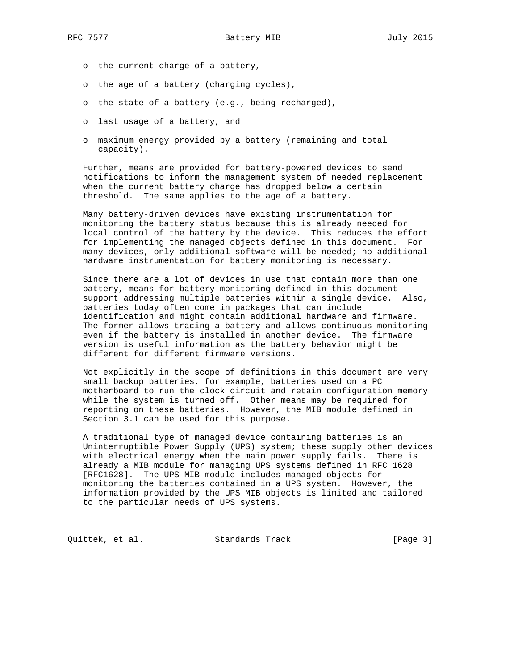- o the current charge of a battery,
- o the age of a battery (charging cycles),
- o the state of a battery (e.g., being recharged),
- o last usage of a battery, and
- o maximum energy provided by a battery (remaining and total capacity).

 Further, means are provided for battery-powered devices to send notifications to inform the management system of needed replacement when the current battery charge has dropped below a certain threshold. The same applies to the age of a battery.

 Many battery-driven devices have existing instrumentation for monitoring the battery status because this is already needed for local control of the battery by the device. This reduces the effort for implementing the managed objects defined in this document. For many devices, only additional software will be needed; no additional hardware instrumentation for battery monitoring is necessary.

 Since there are a lot of devices in use that contain more than one battery, means for battery monitoring defined in this document support addressing multiple batteries within a single device. Also, batteries today often come in packages that can include identification and might contain additional hardware and firmware. The former allows tracing a battery and allows continuous monitoring even if the battery is installed in another device. The firmware version is useful information as the battery behavior might be different for different firmware versions.

 Not explicitly in the scope of definitions in this document are very small backup batteries, for example, batteries used on a PC motherboard to run the clock circuit and retain configuration memory while the system is turned off. Other means may be required for reporting on these batteries. However, the MIB module defined in Section 3.1 can be used for this purpose.

 A traditional type of managed device containing batteries is an Uninterruptible Power Supply (UPS) system; these supply other devices with electrical energy when the main power supply fails. There is already a MIB module for managing UPS systems defined in RFC 1628 [RFC1628]. The UPS MIB module includes managed objects for monitoring the batteries contained in a UPS system. However, the information provided by the UPS MIB objects is limited and tailored to the particular needs of UPS systems.

Quittek, et al. Standards Track [Page 3]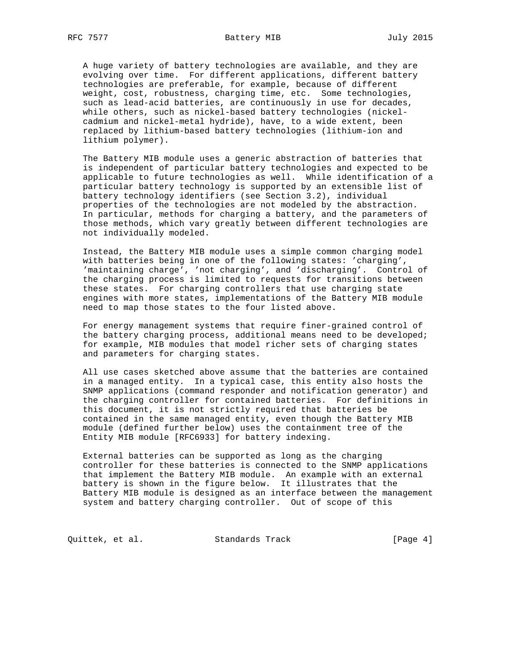A huge variety of battery technologies are available, and they are evolving over time. For different applications, different battery technologies are preferable, for example, because of different weight, cost, robustness, charging time, etc. Some technologies, such as lead-acid batteries, are continuously in use for decades, while others, such as nickel-based battery technologies (nickel cadmium and nickel-metal hydride), have, to a wide extent, been replaced by lithium-based battery technologies (lithium-ion and lithium polymer).

 The Battery MIB module uses a generic abstraction of batteries that is independent of particular battery technologies and expected to be applicable to future technologies as well. While identification of a particular battery technology is supported by an extensible list of battery technology identifiers (see Section 3.2), individual properties of the technologies are not modeled by the abstraction. In particular, methods for charging a battery, and the parameters of those methods, which vary greatly between different technologies are not individually modeled.

 Instead, the Battery MIB module uses a simple common charging model with batteries being in one of the following states: 'charging', 'maintaining charge', 'not charging', and 'discharging'. Control of the charging process is limited to requests for transitions between these states. For charging controllers that use charging state engines with more states, implementations of the Battery MIB module need to map those states to the four listed above.

 For energy management systems that require finer-grained control of the battery charging process, additional means need to be developed; for example, MIB modules that model richer sets of charging states and parameters for charging states.

 All use cases sketched above assume that the batteries are contained in a managed entity. In a typical case, this entity also hosts the SNMP applications (command responder and notification generator) and the charging controller for contained batteries. For definitions in this document, it is not strictly required that batteries be contained in the same managed entity, even though the Battery MIB module (defined further below) uses the containment tree of the Entity MIB module [RFC6933] for battery indexing.

 External batteries can be supported as long as the charging controller for these batteries is connected to the SNMP applications that implement the Battery MIB module. An example with an external battery is shown in the figure below. It illustrates that the Battery MIB module is designed as an interface between the management system and battery charging controller. Out of scope of this

Quittek, et al. Standards Track [Page 4]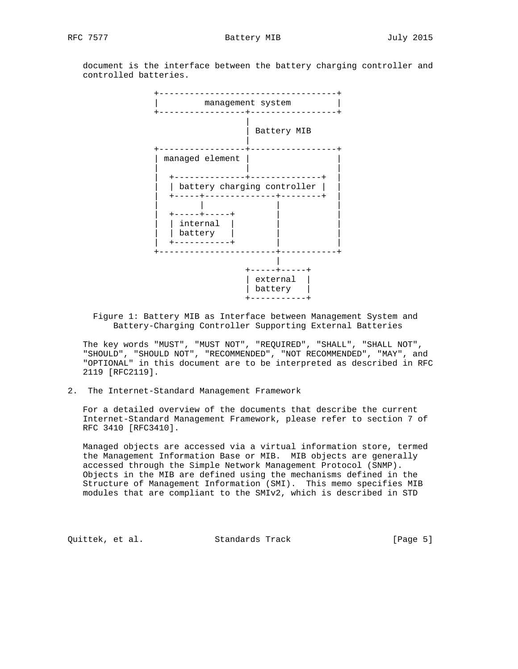document is the interface between the battery charging controller and controlled batteries.



 Figure 1: Battery MIB as Interface between Management System and Battery-Charging Controller Supporting External Batteries

 The key words "MUST", "MUST NOT", "REQUIRED", "SHALL", "SHALL NOT", "SHOULD", "SHOULD NOT", "RECOMMENDED", "NOT RECOMMENDED", "MAY", and "OPTIONAL" in this document are to be interpreted as described in RFC 2119 [RFC2119].

2. The Internet-Standard Management Framework

 For a detailed overview of the documents that describe the current Internet-Standard Management Framework, please refer to section 7 of RFC 3410 [RFC3410].

 Managed objects are accessed via a virtual information store, termed the Management Information Base or MIB. MIB objects are generally accessed through the Simple Network Management Protocol (SNMP). Objects in the MIB are defined using the mechanisms defined in the Structure of Management Information (SMI). This memo specifies MIB modules that are compliant to the SMIv2, which is described in STD

Quittek, et al. Standards Track [Page 5]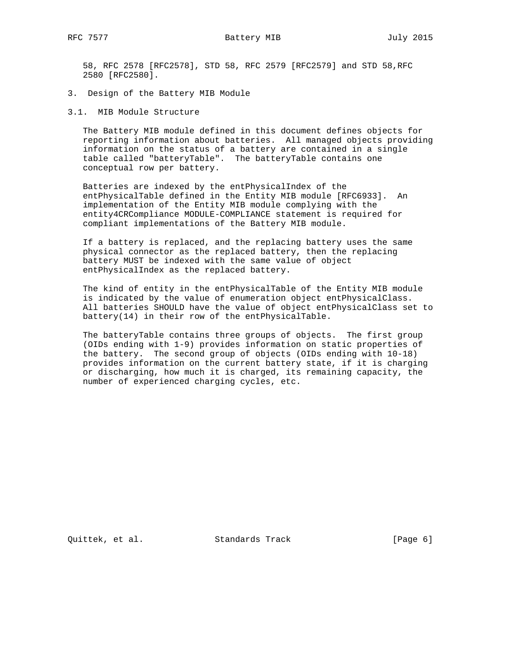58, RFC 2578 [RFC2578], STD 58, RFC 2579 [RFC2579] and STD 58,RFC 2580 [RFC2580].

- 3. Design of the Battery MIB Module
- 3.1. MIB Module Structure

 The Battery MIB module defined in this document defines objects for reporting information about batteries. All managed objects providing information on the status of a battery are contained in a single table called "batteryTable". The batteryTable contains one conceptual row per battery.

 Batteries are indexed by the entPhysicalIndex of the entPhysicalTable defined in the Entity MIB module [RFC6933]. An implementation of the Entity MIB module complying with the entity4CRCompliance MODULE-COMPLIANCE statement is required for compliant implementations of the Battery MIB module.

 If a battery is replaced, and the replacing battery uses the same physical connector as the replaced battery, then the replacing battery MUST be indexed with the same value of object entPhysicalIndex as the replaced battery.

 The kind of entity in the entPhysicalTable of the Entity MIB module is indicated by the value of enumeration object entPhysicalClass. All batteries SHOULD have the value of object entPhysicalClass set to battery(14) in their row of the entPhysicalTable.

 The batteryTable contains three groups of objects. The first group (OIDs ending with 1-9) provides information on static properties of the battery. The second group of objects (OIDs ending with 10-18) provides information on the current battery state, if it is charging or discharging, how much it is charged, its remaining capacity, the number of experienced charging cycles, etc.

Quittek, et al. Standards Track [Page 6]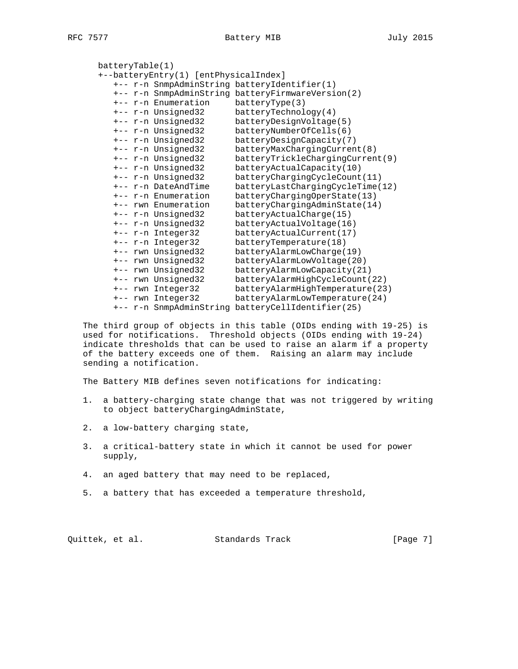```
 batteryTable(1)
      +--batteryEntry(1) [entPhysicalIndex]
         +-- r-n SnmpAdminString batteryIdentifier(1)
         +-- r-n SnmpAdminString batteryFirmwareVersion(2)
         +-- r-n Enumeration batteryType(3)
         +-- r-n Unsigned32 batteryTechnology(4)
 +-- r-n Unsigned32 batteryDesignVoltage(5)
 +-- r-n Unsigned32 batteryNumberOfCells(6)
 +-- r-n Unsigned32 batteryDesignCapacity(7)
 +-- r-n Unsigned32 batteryMaxChargingCurrent(8)
 +-- r-n Unsigned32 batteryTrickleChargingCurrent(9)
        +-- r-n Unsigned32 batteryActualCapacity(10)<br>+-- r-n Unsigned32 batteryChargingCycleCount
        +-- r-n Unsigned32 batteryChargingCycleCount(11)<br>+-- r-n DateAndTime batteryLastChargingCycleTime(
                               batteryLastChargingCycleTime(12)
         +-- r-n Enumeration batteryChargingOperState(13)
 +-- rwn Enumeration batteryChargingAdminState(14)
 +-- r-n Unsigned32 batteryActualCharge(15)
 +-- r-n Unsigned32 batteryActualVoltage(16)
         +-- r-n Integer32 batteryActualCurrent(17)
         +-- r-n Integer32 batteryTemperature(18)
         +-- rwn Unsigned32 batteryAlarmLowCharge(19)
         +-- rwn Unsigned32 batteryAlarmLowVoltage(20)
         +-- rwn Unsigned32 batteryAlarmLowCapacity(21)
         +-- rwn Unsigned32 batteryAlarmHighCycleCount(22)
         +-- rwn Integer32 batteryAlarmHighTemperature(23)
         +-- rwn Integer32 batteryAlarmLowTemperature(24)
         +-- r-n SnmpAdminString batteryCellIdentifier(25)
```
 The third group of objects in this table (OIDs ending with 19-25) is used for notifications. Threshold objects (OIDs ending with 19-24) indicate thresholds that can be used to raise an alarm if a property of the battery exceeds one of them. Raising an alarm may include sending a notification.

The Battery MIB defines seven notifications for indicating:

- 1. a battery-charging state change that was not triggered by writing to object batteryChargingAdminState,
- 2. a low-battery charging state,
- 3. a critical-battery state in which it cannot be used for power supply,
- 4. an aged battery that may need to be replaced,
- 5. a battery that has exceeded a temperature threshold,

Quittek, et al. Standards Track [Page 7]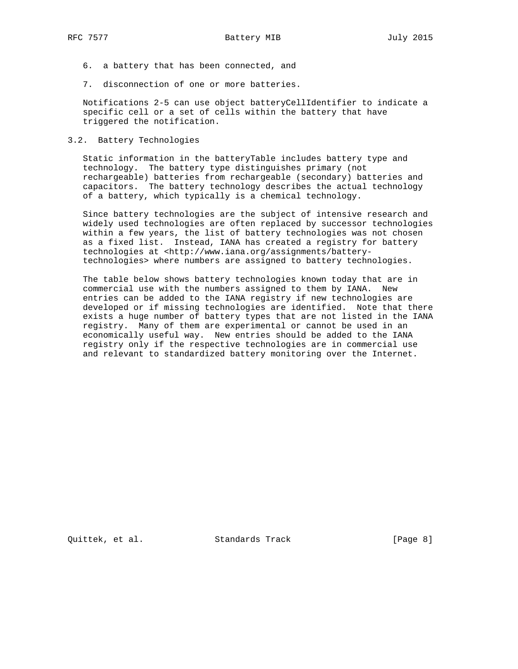- 6. a battery that has been connected, and
- 7. disconnection of one or more batteries.

 Notifications 2-5 can use object batteryCellIdentifier to indicate a specific cell or a set of cells within the battery that have triggered the notification.

3.2. Battery Technologies

 Static information in the batteryTable includes battery type and technology. The battery type distinguishes primary (not rechargeable) batteries from rechargeable (secondary) batteries and capacitors. The battery technology describes the actual technology of a battery, which typically is a chemical technology.

 Since battery technologies are the subject of intensive research and widely used technologies are often replaced by successor technologies within a few years, the list of battery technologies was not chosen as a fixed list. Instead, IANA has created a registry for battery technologies at <http://www.iana.org/assignments/battery technologies> where numbers are assigned to battery technologies.

 The table below shows battery technologies known today that are in commercial use with the numbers assigned to them by IANA. New entries can be added to the IANA registry if new technologies are developed or if missing technologies are identified. Note that there exists a huge number of battery types that are not listed in the IANA registry. Many of them are experimental or cannot be used in an economically useful way. New entries should be added to the IANA registry only if the respective technologies are in commercial use and relevant to standardized battery monitoring over the Internet.

Quittek, et al. Standards Track [Page 8]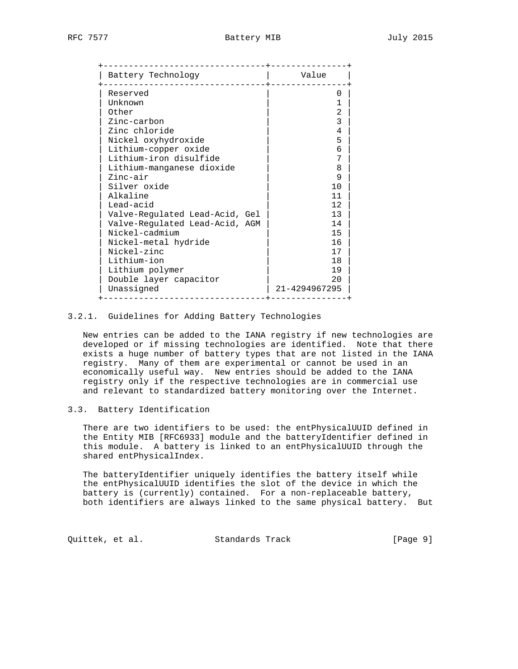| Battery Technology             | Value         |
|--------------------------------|---------------|
| Reserved                       | 0             |
| Unknown                        | 1             |
| Other                          | 2             |
| Zinc-carbon                    | 3             |
| Zinc chloride                  | 4             |
| Nickel oxyhydroxide            | 5             |
| Lithium-copper oxide           | 6             |
| Lithium-iron disulfide         | 7             |
| Lithium-manganese dioxide      | 8             |
| Zinc-air                       | 9             |
| Silver oxide                   | 10            |
| Alkaline                       | 11            |
| Lead-acid                      | 12            |
| Valve-Regulated Lead-Acid, Gel | 13            |
| Valve-Regulated Lead-Acid, AGM | 14            |
| Nickel-cadmium                 | 15            |
| Nickel-metal hydride           | 16            |
| Nickel-zinc                    | 17            |
| Lithium-ion                    | 18            |
| Lithium polymer                | 19            |
| Double layer capacitor         | 20            |
| Unassigned                     | 21-4294967295 |

### 3.2.1. Guidelines for Adding Battery Technologies

 New entries can be added to the IANA registry if new technologies are developed or if missing technologies are identified. Note that there exists a huge number of battery types that are not listed in the IANA registry. Many of them are experimental or cannot be used in an economically useful way. New entries should be added to the IANA registry only if the respective technologies are in commercial use and relevant to standardized battery monitoring over the Internet.

## 3.3. Battery Identification

 There are two identifiers to be used: the entPhysicalUUID defined in the Entity MIB [RFC6933] module and the batteryIdentifier defined in this module. A battery is linked to an entPhysicalUUID through the shared entPhysicalIndex.

 The batteryIdentifier uniquely identifies the battery itself while the entPhysicalUUID identifies the slot of the device in which the battery is (currently) contained. For a non-replaceable battery, both identifiers are always linked to the same physical battery. But

Quittek, et al. Standards Track [Page 9]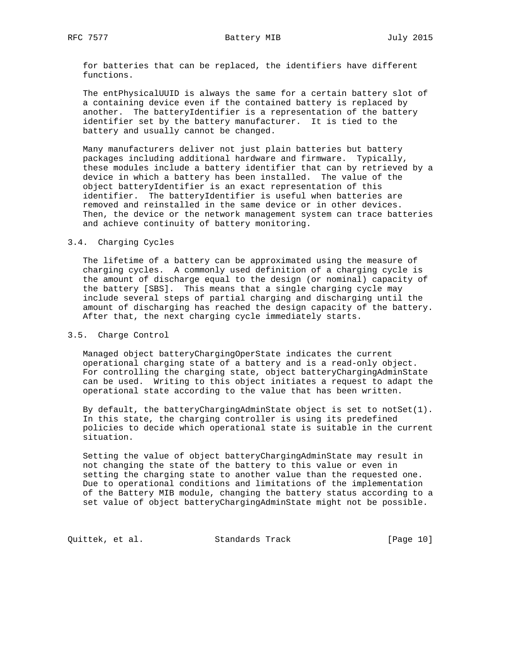for batteries that can be replaced, the identifiers have different functions.

 The entPhysicalUUID is always the same for a certain battery slot of a containing device even if the contained battery is replaced by another. The batteryIdentifier is a representation of the battery identifier set by the battery manufacturer. It is tied to the battery and usually cannot be changed.

 Many manufacturers deliver not just plain batteries but battery packages including additional hardware and firmware. Typically, these modules include a battery identifier that can by retrieved by a device in which a battery has been installed. The value of the object batteryIdentifier is an exact representation of this identifier. The batteryIdentifier is useful when batteries are removed and reinstalled in the same device or in other devices. Then, the device or the network management system can trace batteries and achieve continuity of battery monitoring.

#### 3.4. Charging Cycles

 The lifetime of a battery can be approximated using the measure of charging cycles. A commonly used definition of a charging cycle is the amount of discharge equal to the design (or nominal) capacity of the battery [SBS]. This means that a single charging cycle may include several steps of partial charging and discharging until the amount of discharging has reached the design capacity of the battery. After that, the next charging cycle immediately starts.

#### 3.5. Charge Control

 Managed object batteryChargingOperState indicates the current operational charging state of a battery and is a read-only object. For controlling the charging state, object batteryChargingAdminState can be used. Writing to this object initiates a request to adapt the operational state according to the value that has been written.

 By default, the batteryChargingAdminState object is set to notSet(1). In this state, the charging controller is using its predefined policies to decide which operational state is suitable in the current situation.

 Setting the value of object batteryChargingAdminState may result in not changing the state of the battery to this value or even in setting the charging state to another value than the requested one. Due to operational conditions and limitations of the implementation of the Battery MIB module, changing the battery status according to a set value of object batteryChargingAdminState might not be possible.

Quittek, et al. Standards Track [Page 10]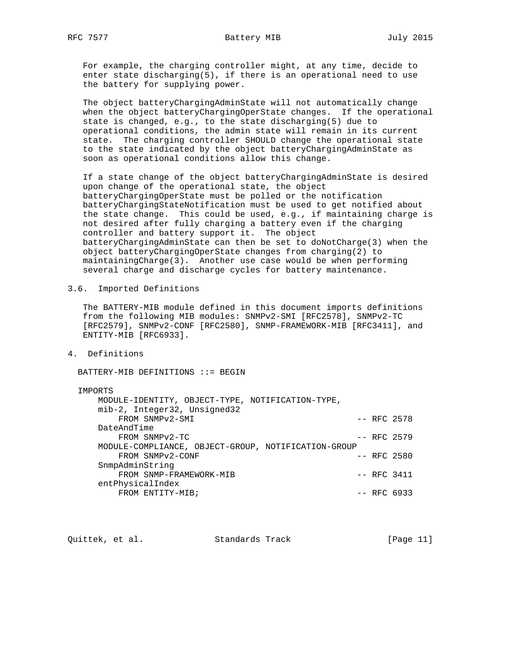For example, the charging controller might, at any time, decide to enter state discharging(5), if there is an operational need to use the battery for supplying power.

 The object batteryChargingAdminState will not automatically change when the object batteryChargingOperState changes. If the operational state is changed, e.g., to the state discharging(5) due to operational conditions, the admin state will remain in its current state. The charging controller SHOULD change the operational state to the state indicated by the object batteryChargingAdminState as soon as operational conditions allow this change.

 If a state change of the object batteryChargingAdminState is desired upon change of the operational state, the object batteryChargingOperState must be polled or the notification batteryChargingStateNotification must be used to get notified about the state change. This could be used, e.g., if maintaining charge is not desired after fully charging a battery even if the charging controller and battery support it. The object batteryChargingAdminState can then be set to doNotCharge(3) when the object batteryChargingOperState changes from charging(2) to maintainingCharge(3). Another use case would be when performing several charge and discharge cycles for battery maintenance.

3.6. Imported Definitions

 The BATTERY-MIB module defined in this document imports definitions from the following MIB modules: SNMPv2-SMI [RFC2578], SNMPv2-TC [RFC2579], SNMPv2-CONF [RFC2580], SNMP-FRAMEWORK-MIB [RFC3411], and ENTITY-MIB [RFC6933].

4. Definitions

BATTERY-MIB DEFINITIONS ::= BEGIN

#### IMPORTS

| MODULE-IDENTITY, OBJECT-TYPE, NOTIFICATION-TYPE,    |  |               |
|-----------------------------------------------------|--|---------------|
| mib-2, Integer32, Unsigned32                        |  |               |
| FROM SNMPv2-SMI                                     |  | $--$ RFC 2578 |
| DateAndTime                                         |  |               |
| FROM SNMPv2-TC                                      |  | $--$ RFC 2579 |
| MODULE-COMPLIANCE, OBJECT-GROUP, NOTIFICATION-GROUP |  |               |
| FROM SNMPv2-CONF                                    |  | $--$ RFC 2580 |
| SnmpAdminString                                     |  |               |
| FROM SNMP-FRAMEWORK-MIB                             |  | $--$ RFC 3411 |
| entPhysicalIndex                                    |  |               |
| FROM ENTITY-MIB;                                    |  | $--$ RFC 6933 |

| Quittek, et al.<br>Standards Track | [Page 11] |
|------------------------------------|-----------|
|------------------------------------|-----------|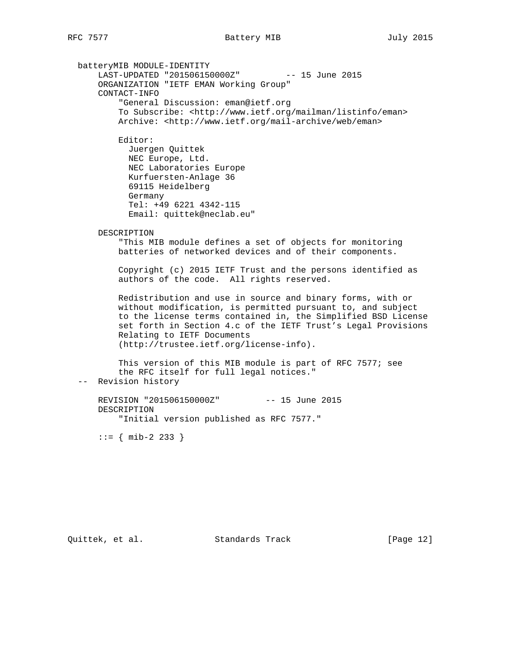batteryMIB MODULE-IDENTITY LAST-UPDATED "201506150000Z" -- 15 June 2015 ORGANIZATION "IETF EMAN Working Group" CONTACT-INFO "General Discussion: eman@ietf.org To Subscribe: <http://www.ietf.org/mailman/listinfo/eman> Archive: <http://www.ietf.org/mail-archive/web/eman> Editor: Juergen Quittek NEC Europe, Ltd. NEC Laboratories Europe Kurfuersten-Anlage 36 69115 Heidelberg Germany Tel: +49 6221 4342-115 Email: quittek@neclab.eu" DESCRIPTION "This MIB module defines a set of objects for monitoring batteries of networked devices and of their components. Copyright (c) 2015 IETF Trust and the persons identified as authors of the code. All rights reserved. Redistribution and use in source and binary forms, with or without modification, is permitted pursuant to, and subject to the license terms contained in, the Simplified BSD License set forth in Section 4.c of the IETF Trust's Legal Provisions Relating to IETF Documents (http://trustee.ietf.org/license-info). This version of this MIB module is part of RFC 7577; see the RFC itself for full legal notices." -- Revision history REVISION "201506150000Z" -- 15 June 2015 DESCRIPTION "Initial version published as RFC 7577."  $::=$  { mib-2 233 }

Quittek, et al. Standards Track [Page 12]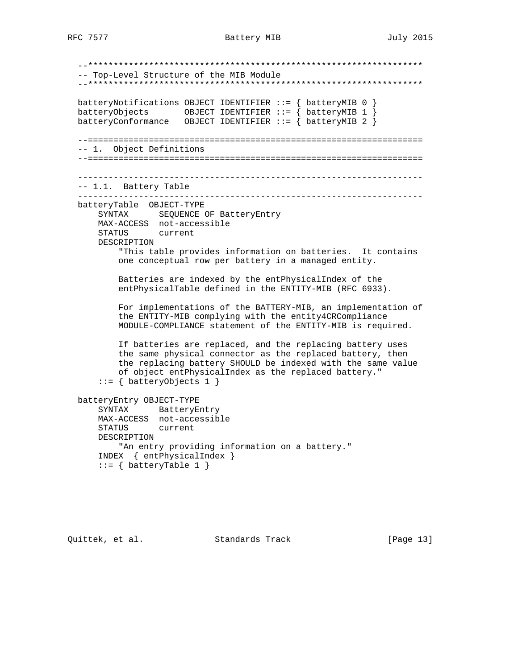--\*\*\*\*\*\*\*\*\*\*\*\*\*\*\*\*\*\*\*\*\*\*\*\*\*\*\*\*\*\*\*\*\*\*\*\*\*\*\*\*\*\*\*\*\*\*\*\*\*\*\*\*\*\*\*\*\*\*\*\*\*\*\*\*\*\* -- Top-Level Structure of the MIB Module --\*\*\*\*\*\*\*\*\*\*\*\*\*\*\*\*\*\*\*\*\*\*\*\*\*\*\*\*\*\*\*\*\*\*\*\*\*\*\*\*\*\*\*\*\*\*\*\*\*\*\*\*\*\*\*\*\*\*\*\*\*\*\*\*\*\* batteryNotifications OBJECT IDENTIFIER ::= { batteryMIB 0 } batteryObjects OBJECT IDENTIFIER ::= { batteryMIB 1 } batteryConformance OBJECT IDENTIFIER  $::=$   $\{$  batteryMIB 2  $\}$  --================================================================== -- 1. Object Definitions --================================================================== -------------------------------------------------------------------- -- 1.1. Battery Table ------------------------------------------------------------------- batteryTable OBJECT-TYPE SYNTAX SEQUENCE OF BatteryEntry MAX-ACCESS not-accessible STATUS current DESCRIPTION "This table provides information on batteries. It contains one conceptual row per battery in a managed entity. Batteries are indexed by the entPhysicalIndex of the entPhysicalTable defined in the ENTITY-MIB (RFC 6933). For implementations of the BATTERY-MIB, an implementation of the ENTITY-MIB complying with the entity4CRCompliance MODULE-COMPLIANCE statement of the ENTITY-MIB is required. If batteries are replaced, and the replacing battery uses the same physical connector as the replaced battery, then the replacing battery SHOULD be indexed with the same value of object entPhysicalIndex as the replaced battery." ::= { batteryObjects 1 } batteryEntry OBJECT-TYPE SYNTAX BatteryEntry MAX-ACCESS not-accessible STATUS current DESCRIPTION "An entry providing information on a battery." INDEX { entPhysicalIndex }  $::=$  { batteryTable 1 }

Quittek, et al. Standards Track [Page 13]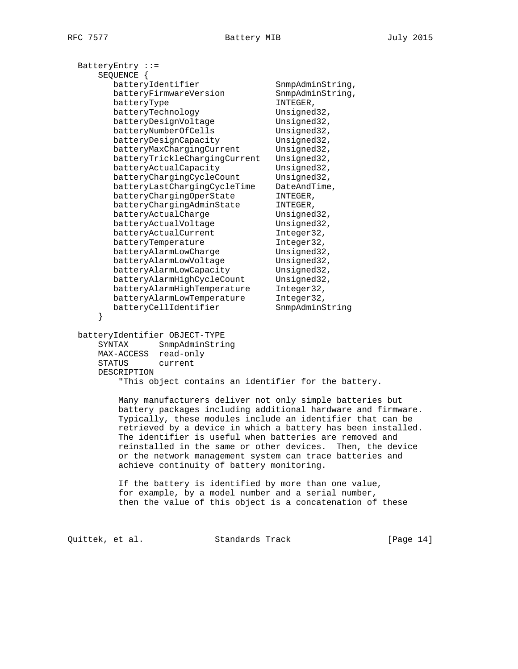| BatteryEntry ::=                                           |                                                              |
|------------------------------------------------------------|--------------------------------------------------------------|
| SEQUENCE {                                                 |                                                              |
| batteryIdentifier                                          | SnmpAdminString,                                             |
| batteryFirmwareVersion                                     | SnmpAdminString,                                             |
| batteryType                                                | INTEGER,                                                     |
| batteryTechnology                                          | Unsigned32,                                                  |
| batteryDesignVoltage                                       | Unsigned32,                                                  |
| batteryNumberOfCells                                       | Unsigned32,                                                  |
| batteryDesignCapacity                                      | Unsigned32,                                                  |
| batteryMaxChargingCurrent                                  | Unsigned32,                                                  |
| batteryTrickleChargingCurrent                              | Unsigned32,                                                  |
| batteryActualCapacity                                      | Unsigned32,                                                  |
| batteryChargingCycleCount                                  | Unsigned32,                                                  |
| batteryLastChargingCycleTime                               | DateAndTime,                                                 |
| batteryChargingOperState                                   | INTEGER,                                                     |
| batteryChargingAdminState                                  | INTEGER,                                                     |
| batteryActualCharge                                        | Unsigned32,                                                  |
| batteryActualVoltage                                       | Unsigned32,                                                  |
| batteryActualCurrent                                       | Integer32,                                                   |
| batteryTemperature                                         | Integer32,                                                   |
| batteryAlarmLowCharge                                      | Unsigned32,                                                  |
| batteryAlarmLowVoltage                                     | Unsigned32,                                                  |
| batteryAlarmLowCapacity                                    | Unsigned32,                                                  |
| batteryAlarmHighCycleCount                                 | Unsigned32,                                                  |
| batteryAlarmHighTemperature                                | Integer32,                                                   |
| batteryAlarmLowTemperature                                 | Integer32,                                                   |
| batteryCellIdentifier                                      | SnmpAdminString                                              |
| }                                                          |                                                              |
| batteryIdentifier OBJECT-TYPE                              |                                                              |
| SnmpAdminString<br>SYNTAX                                  |                                                              |
| read-only<br>MAX-ACCESS                                    |                                                              |
| current<br>STATUS                                          |                                                              |
| DESCRIPTION                                                |                                                              |
| "This object contains an identifier for the battery.       |                                                              |
|                                                            |                                                              |
| Many manufacturers deliver not only simple batteries but   |                                                              |
|                                                            | battery packages including additional hardware and firmware. |
| Typically, these modules include an identifier that can be |                                                              |
|                                                            | retrieved by a device in which a battery has been installed. |
| The identifier is useful when batteries are removed and    |                                                              |
| reinstalled in the same or other devices. Then, the device |                                                              |
| or the network management system can trace batteries and   |                                                              |
| achieve continuity of battery monitoring.                  |                                                              |
| If the battery is identified by more than one value,       |                                                              |
| for example, by a model number and a serial number,        |                                                              |
| then the value of this object is a concatenation of these  |                                                              |
|                                                            |                                                              |

Quittek, et al. Standards Track [Page 14]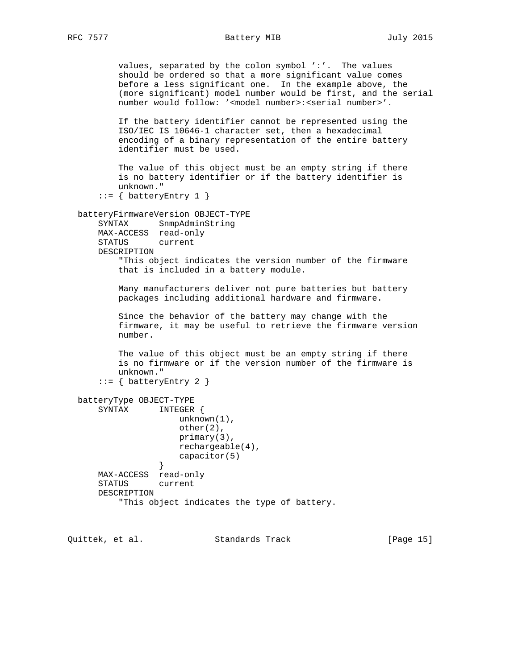values, separated by the colon symbol ':'. The values should be ordered so that a more significant value comes before a less significant one. In the example above, the (more significant) model number would be first, and the serial number would follow: '<model number>:<serial number>'. If the battery identifier cannot be represented using the ISO/IEC IS 10646-1 character set, then a hexadecimal encoding of a binary representation of the entire battery identifier must be used. The value of this object must be an empty string if there is no battery identifier or if the battery identifier is unknown."  $::=$  { batteryEntry 1 } batteryFirmwareVersion OBJECT-TYPE SYNTAX SnmpAdminString MAX-ACCESS read-only STATUS current DESCRIPTION "This object indicates the version number of the firmware that is included in a battery module. Many manufacturers deliver not pure batteries but battery packages including additional hardware and firmware. Since the behavior of the battery may change with the firmware, it may be useful to retrieve the firmware version number. The value of this object must be an empty string if there is no firmware or if the version number of the firmware is unknown."  $::= \{$  batteryEntry 2  $\}$  batteryType OBJECT-TYPE SYNTAX INTEGER { unknown(1), other(2), primary(3), rechargeable(4), capacitor(5) } MAX-ACCESS read-only STATUS current DESCRIPTION "This object indicates the type of battery.

Quittek, et al. Standards Track [Page 15]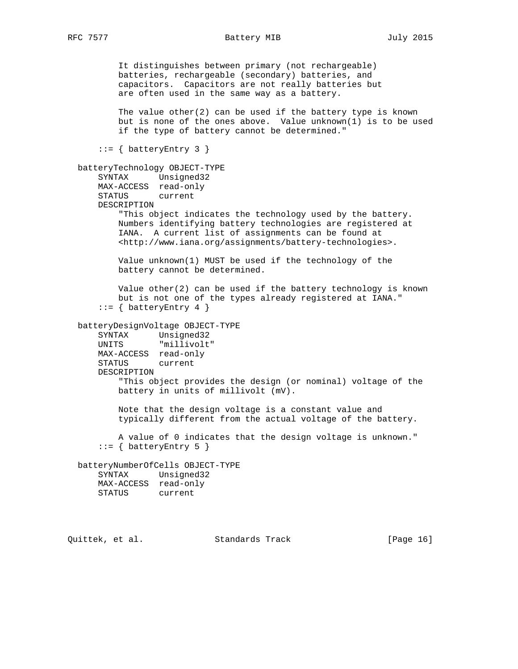It distinguishes between primary (not rechargeable) batteries, rechargeable (secondary) batteries, and capacitors. Capacitors are not really batteries but are often used in the same way as a battery. The value other $(2)$  can be used if the battery type is known but is none of the ones above. Value unknown(1) is to be used if the type of battery cannot be determined."  $::=$  { batteryEntry 3 } batteryTechnology OBJECT-TYPE SYNTAX Unsigned32 MAX-ACCESS read-only STATUS current DESCRIPTION "This object indicates the technology used by the battery. Numbers identifying battery technologies are registered at IANA. A current list of assignments can be found at <http://www.iana.org/assignments/battery-technologies>. Value unknown(1) MUST be used if the technology of the battery cannot be determined. Value other(2) can be used if the battery technology is known but is not one of the types already registered at IANA."  $::=$  { batteryEntry 4 } batteryDesignVoltage OBJECT-TYPE SYNTAX Unsigned32 UNITS "millivolt" MAX-ACCESS read-only STATUS current DESCRIPTION "This object provides the design (or nominal) voltage of the battery in units of millivolt (mV). Note that the design voltage is a constant value and typically different from the actual voltage of the battery. A value of 0 indicates that the design voltage is unknown."  $::=$  { batteryEntry 5 } batteryNumberOfCells OBJECT-TYPE SYNTAX Unsigned32 MAX-ACCESS read-only STATUS current

Quittek, et al. Standards Track [Page 16]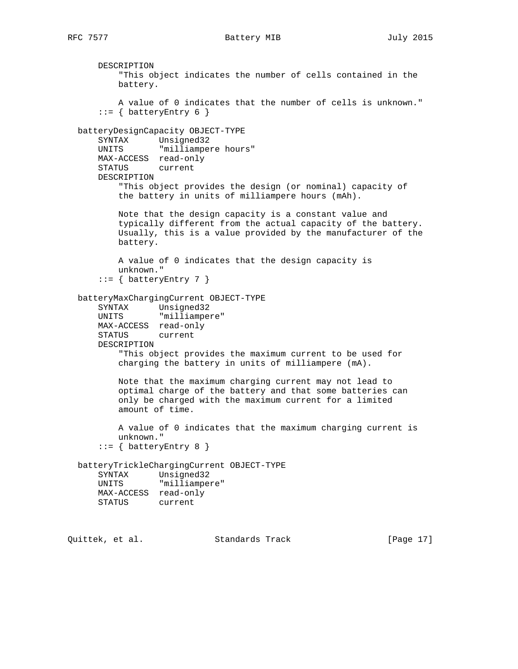DESCRIPTION "This object indicates the number of cells contained in the battery. A value of 0 indicates that the number of cells is unknown."  $::=$  { batteryEntry 6 } batteryDesignCapacity OBJECT-TYPE SYNTAX Unsigned32 UNITS "milliampere hours" MAX-ACCESS read-only STATUS current DESCRIPTION "This object provides the design (or nominal) capacity of the battery in units of milliampere hours (mAh). Note that the design capacity is a constant value and typically different from the actual capacity of the battery. Usually, this is a value provided by the manufacturer of the battery. A value of 0 indicates that the design capacity is unknown."  $::=$  { batteryEntry 7 } batteryMaxChargingCurrent OBJECT-TYPE SYNTAX Unsigned32 UNITS "milliampere" MAX-ACCESS read-only STATUS current DESCRIPTION "This object provides the maximum current to be used for charging the battery in units of milliampere (mA). Note that the maximum charging current may not lead to optimal charge of the battery and that some batteries can only be charged with the maximum current for a limited amount of time. A value of 0 indicates that the maximum charging current is unknown."  $::=$  { batteryEntry 8 } batteryTrickleChargingCurrent OBJECT-TYPE SYNTAX Unsigned32 UNITS "milliampere" MAX-ACCESS read-only STATUS current

Quittek, et al. Standards Track [Page 17]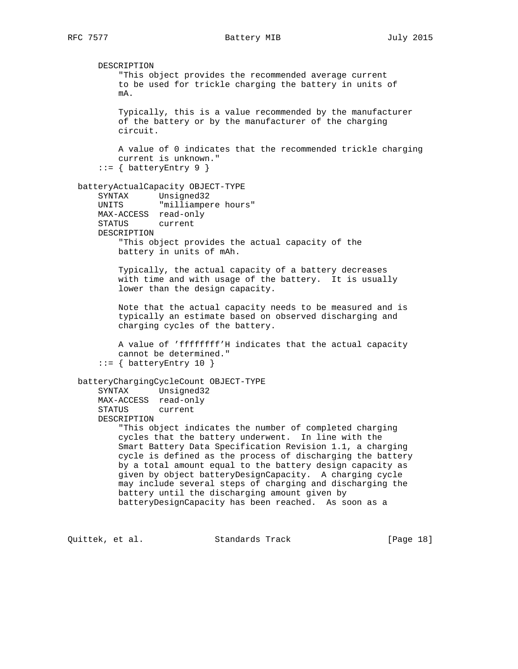DESCRIPTION "This object provides the recommended average current to be used for trickle charging the battery in units of mA. Typically, this is a value recommended by the manufacturer of the battery or by the manufacturer of the charging circuit. A value of 0 indicates that the recommended trickle charging current is unknown."  $::=$  { batteryEntry 9 } batteryActualCapacity OBJECT-TYPE SYNTAX Unsigned32 UNITS "milliampere hours" MAX-ACCESS read-only STATUS current DESCRIPTION "This object provides the actual capacity of the battery in units of mAh. Typically, the actual capacity of a battery decreases with time and with usage of the battery. It is usually lower than the design capacity. Note that the actual capacity needs to be measured and is typically an estimate based on observed discharging and charging cycles of the battery. A value of 'ffffffff'H indicates that the actual capacity cannot be determined."  $::=$  { batteryEntry 10 } batteryChargingCycleCount OBJECT-TYPE SYNTAX Unsigned32 MAX-ACCESS read-only STATUS current DESCRIPTION "This object indicates the number of completed charging cycles that the battery underwent. In line with the Smart Battery Data Specification Revision 1.1, a charging cycle is defined as the process of discharging the battery by a total amount equal to the battery design capacity as given by object batteryDesignCapacity. A charging cycle may include several steps of charging and discharging the battery until the discharging amount given by batteryDesignCapacity has been reached. As soon as a

Quittek, et al. Standards Track [Page 18]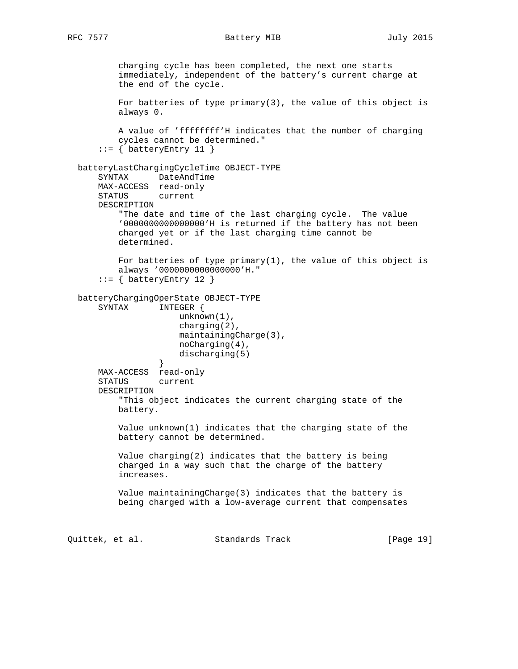charging cycle has been completed, the next one starts immediately, independent of the battery's current charge at the end of the cycle. For batteries of type primary(3), the value of this object is always 0. A value of 'ffffffff'H indicates that the number of charging cycles cannot be determined."  $::=$  { batteryEntry 11 } batteryLastChargingCycleTime OBJECT-TYPE SYNTAX DateAndTime MAX-ACCESS read-only STATUS current DESCRIPTION "The date and time of the last charging cycle. The value '0000000000000000'H is returned if the battery has not been charged yet or if the last charging time cannot be determined. For batteries of type  $\text{primary}(1)$ , the value of this object is always '0000000000000000'H."  $::=$  { batteryEntry 12 } batteryChargingOperState OBJECT-TYPE SYNTAX INTEGER { unknown(1), charging(2), maintainingCharge(3), noCharging(4), discharging(5) } MAX-ACCESS read-only STATUS current DESCRIPTION "This object indicates the current charging state of the battery. Value unknown(1) indicates that the charging state of the battery cannot be determined. Value charging(2) indicates that the battery is being charged in a way such that the charge of the battery increases. Value maintainingCharge(3) indicates that the battery is being charged with a low-average current that compensates Quittek, et al. Standards Track [Page 19]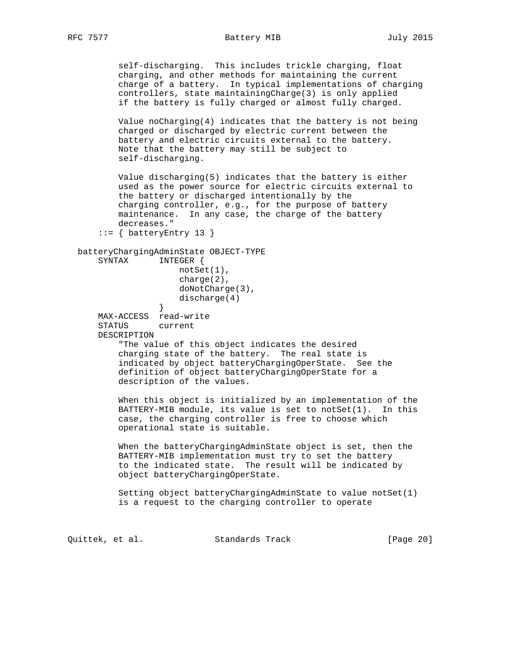self-discharging. This includes trickle charging, float charging, and other methods for maintaining the current charge of a battery. In typical implementations of charging controllers, state maintainingCharge(3) is only applied if the battery is fully charged or almost fully charged.

 Value noCharging(4) indicates that the battery is not being charged or discharged by electric current between the battery and electric circuits external to the battery. Note that the battery may still be subject to self-discharging.

 Value discharging(5) indicates that the battery is either used as the power source for electric circuits external to the battery or discharged intentionally by the charging controller, e.g., for the purpose of battery maintenance. In any case, the charge of the battery decreases."

 $::=$  { batteryEntry 13 }

```
batteryChargingAdminState OBJECT-TYPE<br>SYNTAX INTEGER {
                   INTEGER {
```

```
 notSet(1),
     charge(2),
     doNotCharge(3),
discharge(4)<br>}
```
 } MAX-ACCESS read-write STATUS current DESCRIPTION

> "The value of this object indicates the desired charging state of the battery. The real state is indicated by object batteryChargingOperState. See the definition of object batteryChargingOperState for a description of the values.

 When this object is initialized by an implementation of the BATTERY-MIB module, its value is set to notSet(1). In this case, the charging controller is free to choose which operational state is suitable.

 When the batteryChargingAdminState object is set, then the BATTERY-MIB implementation must try to set the battery to the indicated state. The result will be indicated by object batteryChargingOperState.

 Setting object batteryChargingAdminState to value notSet(1) is a request to the charging controller to operate

Quittek, et al. Standards Track [Page 20]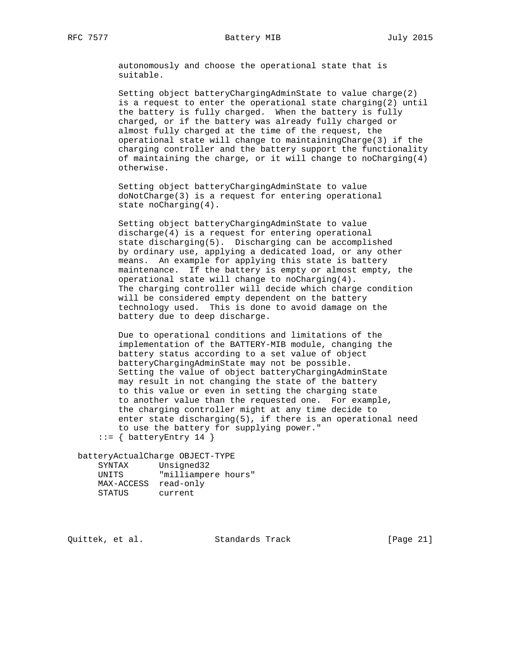autonomously and choose the operational state that is suitable.

 Setting object batteryChargingAdminState to value charge(2) is a request to enter the operational state charging(2) until the battery is fully charged. When the battery is fully charged, or if the battery was already fully charged or almost fully charged at the time of the request, the operational state will change to maintainingCharge(3) if the charging controller and the battery support the functionality of maintaining the charge, or it will change to noCharging( $4$ ) otherwise.

 Setting object batteryChargingAdminState to value doNotCharge(3) is a request for entering operational state noCharging(4).

 Setting object batteryChargingAdminState to value discharge(4) is a request for entering operational state discharging(5). Discharging can be accomplished by ordinary use, applying a dedicated load, or any other means. An example for applying this state is battery maintenance. If the battery is empty or almost empty, the operational state will change to noCharging(4). The charging controller will decide which charge condition will be considered empty dependent on the battery technology used. This is done to avoid damage on the battery due to deep discharge.

 Due to operational conditions and limitations of the implementation of the BATTERY-MIB module, changing the battery status according to a set value of object batteryChargingAdminState may not be possible. Setting the value of object batteryChargingAdminState may result in not changing the state of the battery to this value or even in setting the charging state to another value than the requested one. For example, the charging controller might at any time decide to enter state discharging(5), if there is an operational need to use the battery for supplying power."

 $::=$  { batteryEntry 14 }

 batteryActualCharge OBJECT-TYPE SYNTAX Unsigned32 UNITS "milliampere hours" MAX-ACCESS read-only STATUS current

Quittek, et al. Standards Track [Page 21]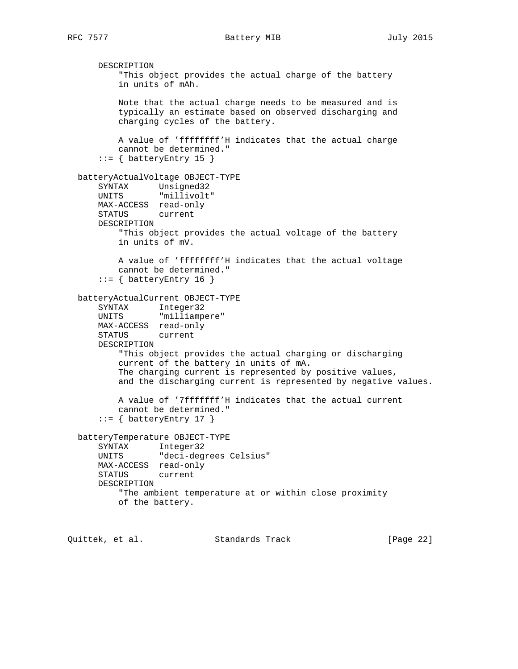DESCRIPTION "This object provides the actual charge of the battery in units of mAh. Note that the actual charge needs to be measured and is typically an estimate based on observed discharging and charging cycles of the battery. A value of 'ffffffff'H indicates that the actual charge cannot be determined." ::= { batteryEntry 15 } batteryActualVoltage OBJECT-TYPE SYNTAX Unsigned32 UNITS "millivolt" MAX-ACCESS read-only STATUS current DESCRIPTION "This object provides the actual voltage of the battery in units of mV. A value of 'ffffffff'H indicates that the actual voltage cannot be determined."  $::=$  { batteryEntry 16 } batteryActualCurrent OBJECT-TYPE SYNTAX Integer32 UNITS "milliampere" MAX-ACCESS read-only STATUS current DESCRIPTION "This object provides the actual charging or discharging current of the battery in units of mA. The charging current is represented by positive values, and the discharging current is represented by negative values. A value of '7fffffff'H indicates that the actual current cannot be determined."  $::=$  { batteryEntry 17 } batteryTemperature OBJECT-TYPE SYNTAX Integer32 UNITS "deci-degrees Celsius" MAX-ACCESS read-only STATUS current DESCRIPTION "The ambient temperature at or within close proximity of the battery.

Quittek, et al. Standards Track [Page 22]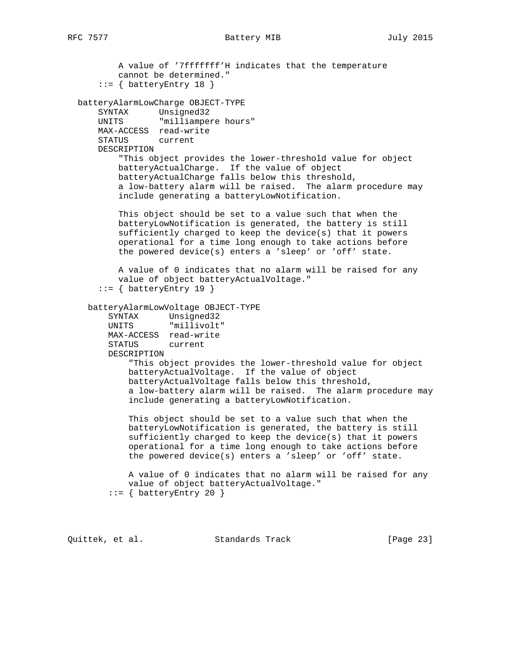A value of '7fffffff'H indicates that the temperature cannot be determined."  $::=$  { batteryEntry 18 } batteryAlarmLowCharge OBJECT-TYPE SYNTAX Unsigned32 UNITS "milliampere hours" MAX-ACCESS read-write STATUS current DESCRIPTION "This object provides the lower-threshold value for object batteryActualCharge. If the value of object batteryActualCharge falls below this threshold, a low-battery alarm will be raised. The alarm procedure may include generating a batteryLowNotification. This object should be set to a value such that when the batteryLowNotification is generated, the battery is still sufficiently charged to keep the device(s) that it powers operational for a time long enough to take actions before the powered device(s) enters a 'sleep' or 'off' state. A value of 0 indicates that no alarm will be raised for any value of object batteryActualVoltage." ::= { batteryEntry 19 } batteryAlarmLowVoltage OBJECT-TYPE SYNTAX Unsigned32 UNITS "millivolt" MAX-ACCESS read-write STATUS current DESCRIPTION "This object provides the lower-threshold value for object batteryActualVoltage. If the value of object batteryActualVoltage falls below this threshold, a low-battery alarm will be raised. The alarm procedure may include generating a batteryLowNotification. This object should be set to a value such that when the batteryLowNotification is generated, the battery is still sufficiently charged to keep the device(s) that it powers operational for a time long enough to take actions before the powered device(s) enters a 'sleep' or 'off' state. A value of 0 indicates that no alarm will be raised for any value of object batteryActualVoltage."  $::=$  { batteryEntry 20 }

Quittek, et al. Standards Track [Page 23]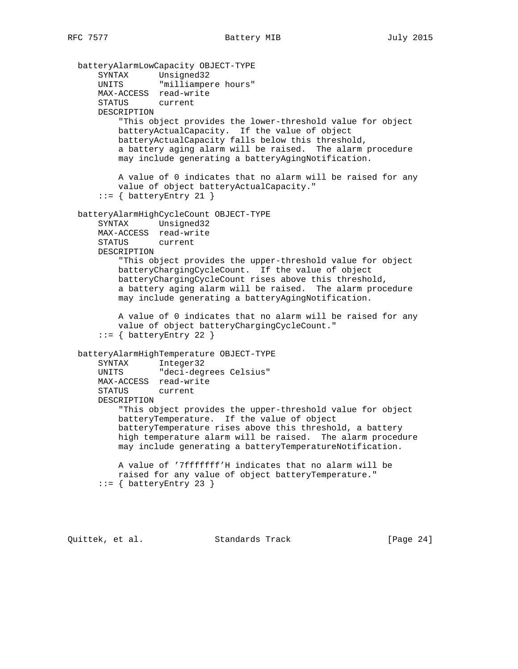batteryAlarmLowCapacity OBJECT-TYPE SYNTAX Unsigned32 UNITS "milliampere hours" MAX-ACCESS read-write STATUS current DESCRIPTION "This object provides the lower-threshold value for object batteryActualCapacity. If the value of object batteryActualCapacity falls below this threshold, a battery aging alarm will be raised. The alarm procedure may include generating a batteryAgingNotification. A value of 0 indicates that no alarm will be raised for any value of object batteryActualCapacity."  $::=$  { batteryEntry 21 } batteryAlarmHighCycleCount OBJECT-TYPE SYNTAX Unsigned32 MAX-ACCESS read-write STATUS current DESCRIPTION "This object provides the upper-threshold value for object batteryChargingCycleCount. If the value of object batteryChargingCycleCount rises above this threshold, a battery aging alarm will be raised. The alarm procedure may include generating a batteryAgingNotification. A value of 0 indicates that no alarm will be raised for any value of object batteryChargingCycleCount."  $::=$  { batteryEntry 22 } batteryAlarmHighTemperature OBJECT-TYPE SYNTAX Integer32 UNITS "deci-degrees Celsius" MAX-ACCESS read-write STATUS current DESCRIPTION "This object provides the upper-threshold value for object batteryTemperature. If the value of object batteryTemperature rises above this threshold, a battery high temperature alarm will be raised. The alarm procedure may include generating a batteryTemperatureNotification. A value of '7fffffff'H indicates that no alarm will be raised for any value of object batteryTemperature."  $::=$  { batteryEntry 23 }

Quittek, et al. Standards Track [Page 24]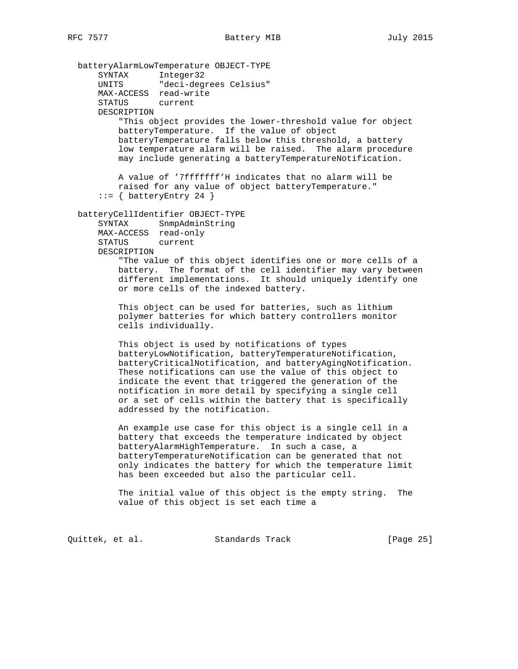batteryAlarmLowTemperature OBJECT-TYPE SYNTAX Integer32 UNITS "deci-degrees Celsius" MAX-ACCESS read-write STATUS current DESCRIPTION "This object provides the lower-threshold value for object batteryTemperature. If the value of object batteryTemperature falls below this threshold, a battery low temperature alarm will be raised. The alarm procedure may include generating a batteryTemperatureNotification. A value of '7fffffff'H indicates that no alarm will be raised for any value of object batteryTemperature."  $::=$  { batteryEntry 24 } batteryCellIdentifier OBJECT-TYPE SYNTAX SnmpAdminString MAX-ACCESS read-only STATUS current DESCRIPTION "The value of this object identifies one or more cells of a battery. The format of the cell identifier may vary between different implementations. It should uniquely identify one or more cells of the indexed battery. This object can be used for batteries, such as lithium polymer batteries for which battery controllers monitor cells individually. This object is used by notifications of types batteryLowNotification, batteryTemperatureNotification, batteryCriticalNotification, and batteryAgingNotification. These notifications can use the value of this object to indicate the event that triggered the generation of the notification in more detail by specifying a single cell or a set of cells within the battery that is specifically addressed by the notification. An example use case for this object is a single cell in a battery that exceeds the temperature indicated by object batteryAlarmHighTemperature. In such a case, a batteryTemperatureNotification can be generated that not only indicates the battery for which the temperature limit has been exceeded but also the particular cell. The initial value of this object is the empty string. The value of this object is set each time a

Quittek, et al. Standards Track [Page 25]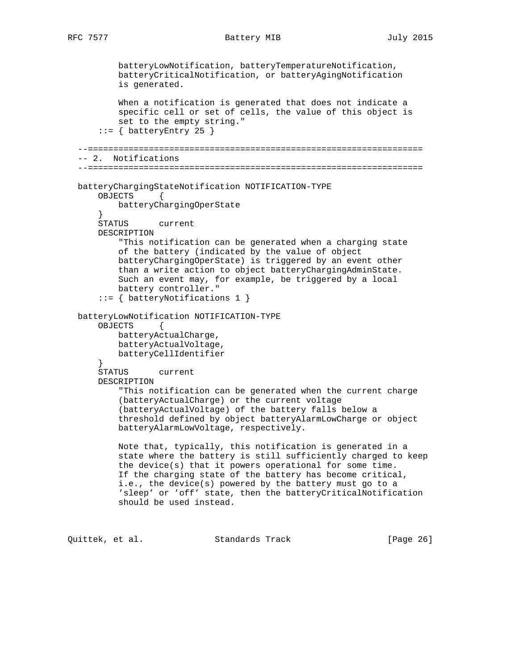batteryLowNotification, batteryTemperatureNotification, batteryCriticalNotification, or batteryAgingNotification is generated. When a notification is generated that does not indicate a specific cell or set of cells, the value of this object is set to the empty string."  $::=$  { batteryEntry 25 } --================================================================== -- 2. Notifications --================================================================== batteryChargingStateNotification NOTIFICATION-TYPE OBJECTS { batteryChargingOperState } STATUS current DESCRIPTION "This notification can be generated when a charging state of the battery (indicated by the value of object batteryChargingOperState) is triggered by an event other than a write action to object batteryChargingAdminState. Such an event may, for example, be triggered by a local battery controller." ::= { batteryNotifications 1 } batteryLowNotification NOTIFICATION-TYPE OBJECTS { batteryActualCharge, batteryActualVoltage, batteryCellIdentifier } STATUS current DESCRIPTION "This notification can be generated when the current charge (batteryActualCharge) or the current voltage (batteryActualVoltage) of the battery falls below a threshold defined by object batteryAlarmLowCharge or object batteryAlarmLowVoltage, respectively. Note that, typically, this notification is generated in a state where the battery is still sufficiently charged to keep the device(s) that it powers operational for some time. If the charging state of the battery has become critical, i.e., the device(s) powered by the battery must go to a 'sleep' or 'off' state, then the batteryCriticalNotification should be used instead.

Quittek, et al. Standards Track [Page 26]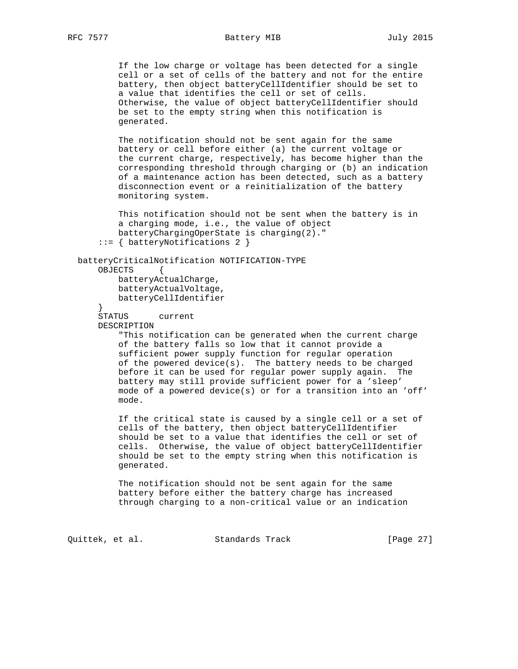If the low charge or voltage has been detected for a single cell or a set of cells of the battery and not for the entire battery, then object batteryCellIdentifier should be set to a value that identifies the cell or set of cells. Otherwise, the value of object batteryCellIdentifier should be set to the empty string when this notification is generated.

 The notification should not be sent again for the same battery or cell before either (a) the current voltage or the current charge, respectively, has become higher than the corresponding threshold through charging or (b) an indication of a maintenance action has been detected, such as a battery disconnection event or a reinitialization of the battery monitoring system.

 This notification should not be sent when the battery is in a charging mode, i.e., the value of object batteryChargingOperState is charging(2)."

```
 ::= { batteryNotifications 2 }
```

```
 batteryCriticalNotification NOTIFICATION-TYPE
    OBJECTS {
```
 batteryActualCharge, batteryActualVoltage, batteryCellIdentifier

}

 STATUS current DESCRIPTION

> "This notification can be generated when the current charge of the battery falls so low that it cannot provide a sufficient power supply function for regular operation of the powered device(s). The battery needs to be charged before it can be used for regular power supply again. The battery may still provide sufficient power for a 'sleep' mode of a powered device(s) or for a transition into an 'off' mode.

 If the critical state is caused by a single cell or a set of cells of the battery, then object batteryCellIdentifier should be set to a value that identifies the cell or set of cells. Otherwise, the value of object batteryCellIdentifier should be set to the empty string when this notification is generated.

 The notification should not be sent again for the same battery before either the battery charge has increased through charging to a non-critical value or an indication

Quittek, et al. Standards Track [Page 27]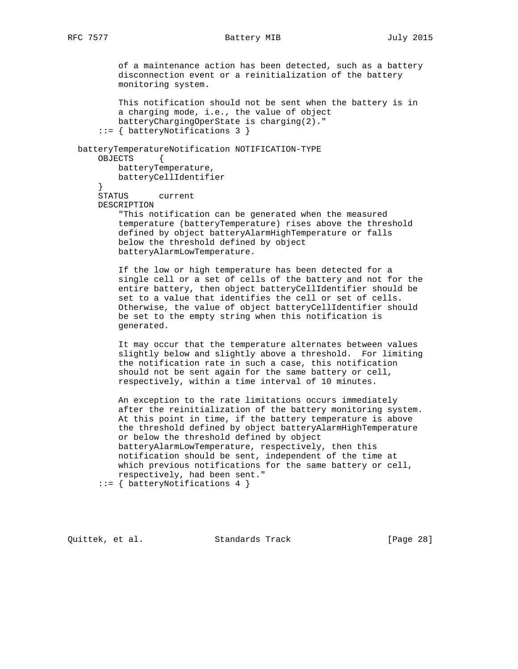of a maintenance action has been detected, such as a battery disconnection event or a reinitialization of the battery monitoring system.

 This notification should not be sent when the battery is in a charging mode, i.e., the value of object batteryChargingOperState is charging(2)." ::= { batteryNotifications 3 } batteryTemperatureNotification NOTIFICATION-TYPE OBJECTS { batteryTemperature, batteryCellIdentifier } STATUS current DESCRIPTION "This notification can be generated when the measured temperature (batteryTemperature) rises above the threshold defined by object batteryAlarmHighTemperature or falls below the threshold defined by object batteryAlarmLowTemperature. If the low or high temperature has been detected for a single cell or a set of cells of the battery and not for the entire battery, then object batteryCellIdentifier should be set to a value that identifies the cell or set of cells. Otherwise, the value of object batteryCellIdentifier should be set to the empty string when this notification is generated. It may occur that the temperature alternates between values slightly below and slightly above a threshold. For limiting the notification rate in such a case, this notification should not be sent again for the same battery or cell, respectively, within a time interval of 10 minutes. An exception to the rate limitations occurs immediately after the reinitialization of the battery monitoring system. At this point in time, if the battery temperature is above

 the threshold defined by object batteryAlarmHighTemperature or below the threshold defined by object batteryAlarmLowTemperature, respectively, then this notification should be sent, independent of the time at which previous notifications for the same battery or cell, respectively, had been sent."

::= { batteryNotifications 4 }

Quittek, et al. Standards Track [Page 28]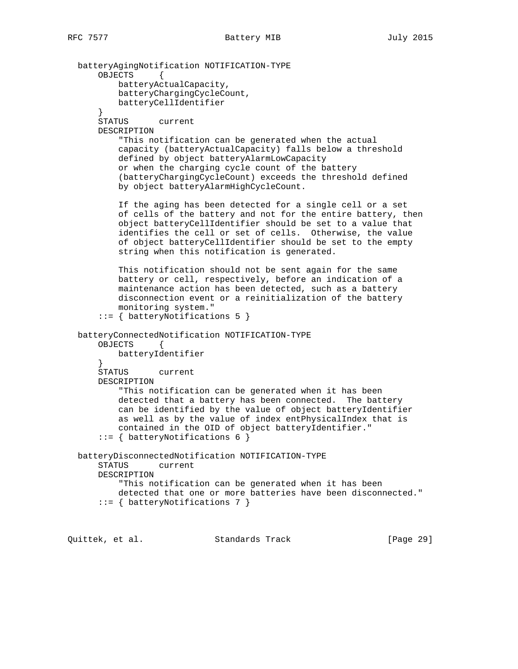batteryAgingNotification NOTIFICATION-TYPE OBJECTS { batteryActualCapacity, batteryChargingCycleCount, batteryCellIdentifier } STATUS current DESCRIPTION "This notification can be generated when the actual capacity (batteryActualCapacity) falls below a threshold defined by object batteryAlarmLowCapacity or when the charging cycle count of the battery (batteryChargingCycleCount) exceeds the threshold defined by object batteryAlarmHighCycleCount. If the aging has been detected for a single cell or a set of cells of the battery and not for the entire battery, then object batteryCellIdentifier should be set to a value that identifies the cell or set of cells. Otherwise, the value of object batteryCellIdentifier should be set to the empty string when this notification is generated. This notification should not be sent again for the same battery or cell, respectively, before an indication of a maintenance action has been detected, such as a battery disconnection event or a reinitialization of the battery monitoring system." ::= { batteryNotifications 5 } batteryConnectedNotification NOTIFICATION-TYPE OBJECTS { batteryIdentifier } STATUS current DESCRIPTION "This notification can be generated when it has been detected that a battery has been connected. The battery can be identified by the value of object batteryIdentifier as well as by the value of index entPhysicalIndex that is contained in the OID of object batteryIdentifier." ::= { batteryNotifications 6 } batteryDisconnectedNotification NOTIFICATION-TYPE STATUS current DESCRIPTION "This notification can be generated when it has been detected that one or more batteries have been disconnected." ::= { batteryNotifications 7 }

Quittek, et al. Standards Track [Page 29]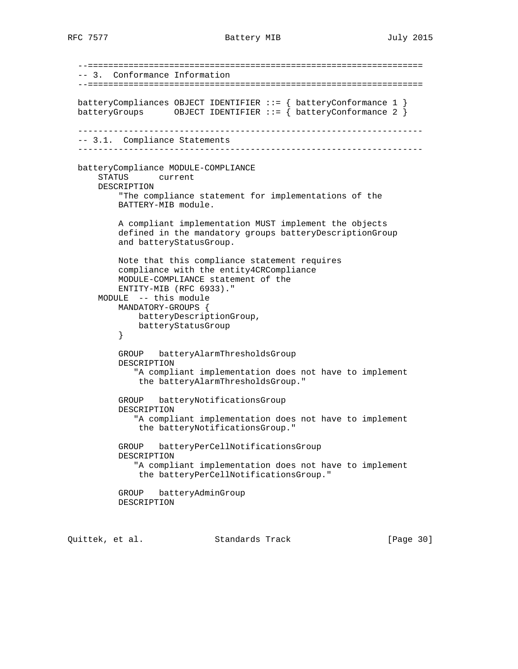--================================================================== -- 3. Conformance Information --================================================================== batteryCompliances OBJECT IDENTIFIER ::= { batteryConformance 1 } batteryGroups OBJECT IDENTIFIER  $::=$  { batteryConformance 2 } -------------------------------------------------------------------- -- 3.1. Compliance Statements ------------------------------------------------------------------- batteryCompliance MODULE-COMPLIANCE STATUS current DESCRIPTION "The compliance statement for implementations of the BATTERY-MIB module. A compliant implementation MUST implement the objects defined in the mandatory groups batteryDescriptionGroup and batteryStatusGroup. Note that this compliance statement requires compliance with the entity4CRCompliance MODULE-COMPLIANCE statement of the ENTITY-MIB (RFC 6933)." MODULE -- this module MANDATORY-GROUPS { batteryDescriptionGroup, batteryStatusGroup<br>} } GROUP batteryAlarmThresholdsGroup DESCRIPTION "A compliant implementation does not have to implement the batteryAlarmThresholdsGroup." GROUP batteryNotificationsGroup DESCRIPTION "A compliant implementation does not have to implement the batteryNotificationsGroup." GROUP batteryPerCellNotificationsGroup DESCRIPTION "A compliant implementation does not have to implement the batteryPerCellNotificationsGroup." GROUP batteryAdminGroup DESCRIPTION

Quittek, et al. Standards Track [Page 30]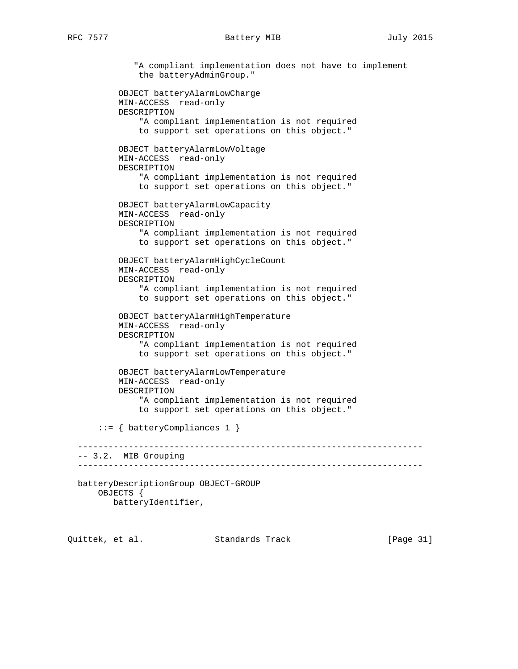```
 "A compliant implementation does not have to implement
             the batteryAdminGroup."
         OBJECT batteryAlarmLowCharge
         MIN-ACCESS read-only
         DESCRIPTION
             "A compliant implementation is not required
             to support set operations on this object."
         OBJECT batteryAlarmLowVoltage
         MIN-ACCESS read-only
         DESCRIPTION
             "A compliant implementation is not required
             to support set operations on this object."
         OBJECT batteryAlarmLowCapacity
         MIN-ACCESS read-only
         DESCRIPTION
             "A compliant implementation is not required
             to support set operations on this object."
         OBJECT batteryAlarmHighCycleCount
         MIN-ACCESS read-only
         DESCRIPTION
             "A compliant implementation is not required
             to support set operations on this object."
         OBJECT batteryAlarmHighTemperature
         MIN-ACCESS read-only
         DESCRIPTION
             "A compliant implementation is not required
             to support set operations on this object."
         OBJECT batteryAlarmLowTemperature
         MIN-ACCESS read-only
         DESCRIPTION
             "A compliant implementation is not required
             to support set operations on this object."
     ::= { batteryCompliances 1 }
                      --------------------------------------------------------------------
 -- 3.2. MIB Grouping
 --------------------------------------------------------------------
 batteryDescriptionGroup OBJECT-GROUP
     OBJECTS {
        batteryIdentifier,
```

| Quittek, et al. | Standards Track | [Page 31] |
|-----------------|-----------------|-----------|
|-----------------|-----------------|-----------|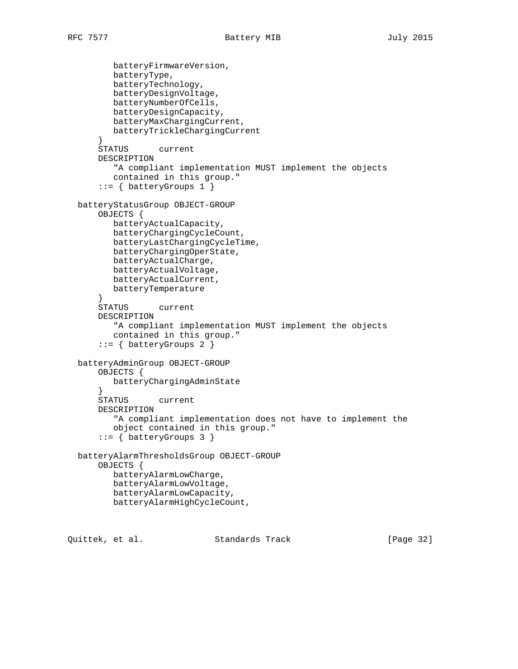```
 batteryFirmwareVersion,
          batteryType,
         batteryTechnology,
         batteryDesignVoltage,
         batteryNumberOfCells,
         batteryDesignCapacity,
         batteryMaxChargingCurrent,
         batteryTrickleChargingCurrent
       }
       STATUS current
       DESCRIPTION
          "A compliant implementation MUST implement the objects
         contained in this group."
       ::= { batteryGroups 1 }
   batteryStatusGroup OBJECT-GROUP
       OBJECTS {
         batteryActualCapacity,
         batteryChargingCycleCount,
         batteryLastChargingCycleTime,
         batteryChargingOperState,
         batteryActualCharge,
         batteryActualVoltage,
         batteryActualCurrent,
         batteryTemperature
       }
       STATUS current
       DESCRIPTION
          "A compliant implementation MUST implement the objects
          contained in this group."
       ::= { batteryGroups 2 }
   batteryAdminGroup OBJECT-GROUP
       OBJECTS {
         batteryChargingAdminState
       }
       STATUS current
       DESCRIPTION
          "A compliant implementation does not have to implement the
         object contained in this group."
       ::= { batteryGroups 3 }
   batteryAlarmThresholdsGroup OBJECT-GROUP
       OBJECTS {
         batteryAlarmLowCharge,
         batteryAlarmLowVoltage,
         batteryAlarmLowCapacity,
         batteryAlarmHighCycleCount,
Quittek, et al. Standards Track [Page 32]
```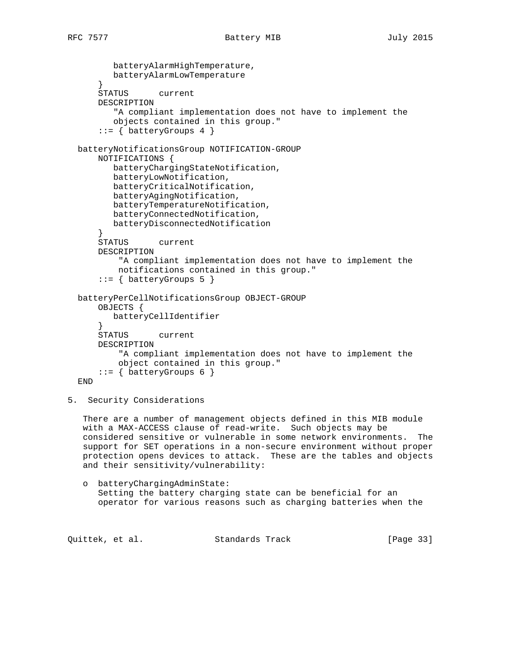batteryAlarmHighTemperature, batteryAlarmLowTemperature } STATUS current DESCRIPTION "A compliant implementation does not have to implement the objects contained in this group." ::= { batteryGroups 4 } batteryNotificationsGroup NOTIFICATION-GROUP NOTIFICATIONS { batteryChargingStateNotification, batteryLowNotification, batteryCriticalNotification, batteryAgingNotification, batteryTemperatureNotification, batteryConnectedNotification, batteryDisconnectedNotification } STATUS current DESCRIPTION "A compliant implementation does not have to implement the notifications contained in this group."  $::=$  { batteryGroups 5 } batteryPerCellNotificationsGroup OBJECT-GROUP OBJECTS { batteryCellIdentifier } STATUS current DESCRIPTION "A compliant implementation does not have to implement the object contained in this group."  $::=$  { batteryGroups 6 } END

5. Security Considerations

 There are a number of management objects defined in this MIB module with a MAX-ACCESS clause of read-write. Such objects may be considered sensitive or vulnerable in some network environments. The support for SET operations in a non-secure environment without proper protection opens devices to attack. These are the tables and objects and their sensitivity/vulnerability:

 o batteryChargingAdminState: Setting the battery charging state can be beneficial for an operator for various reasons such as charging batteries when the

Quittek, et al. Standards Track [Page 33]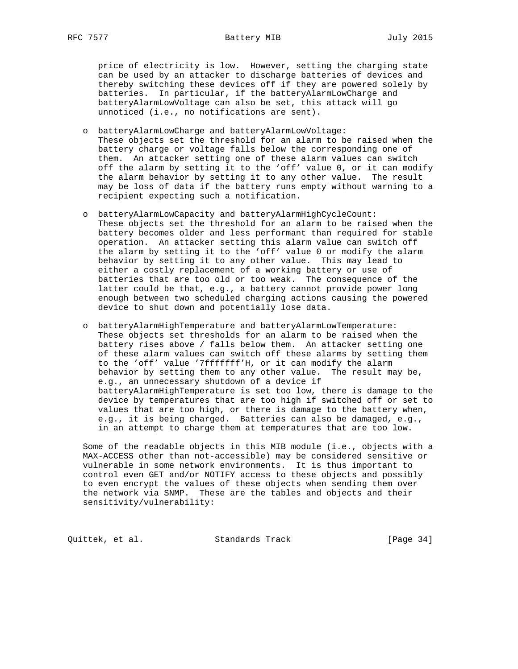price of electricity is low. However, setting the charging state can be used by an attacker to discharge batteries of devices and thereby switching these devices off if they are powered solely by batteries. In particular, if the batteryAlarmLowCharge and batteryAlarmLowVoltage can also be set, this attack will go unnoticed (i.e., no notifications are sent).

- o batteryAlarmLowCharge and batteryAlarmLowVoltage: These objects set the threshold for an alarm to be raised when the battery charge or voltage falls below the corresponding one of them. An attacker setting one of these alarm values can switch off the alarm by setting it to the 'off' value 0, or it can modify the alarm behavior by setting it to any other value. The result may be loss of data if the battery runs empty without warning to a recipient expecting such a notification.
- o batteryAlarmLowCapacity and batteryAlarmHighCycleCount: These objects set the threshold for an alarm to be raised when the battery becomes older and less performant than required for stable operation. An attacker setting this alarm value can switch off the alarm by setting it to the 'off' value 0 or modify the alarm behavior by setting it to any other value. This may lead to either a costly replacement of a working battery or use of batteries that are too old or too weak. The consequence of the latter could be that, e.g., a battery cannot provide power long enough between two scheduled charging actions causing the powered device to shut down and potentially lose data.
- o batteryAlarmHighTemperature and batteryAlarmLowTemperature: These objects set thresholds for an alarm to be raised when the battery rises above / falls below them. An attacker setting one of these alarm values can switch off these alarms by setting them to the 'off' value '7fffffff'H, or it can modify the alarm behavior by setting them to any other value. The result may be, e.g., an unnecessary shutdown of a device if batteryAlarmHighTemperature is set too low, there is damage to the device by temperatures that are too high if switched off or set to values that are too high, or there is damage to the battery when, e.g., it is being charged. Batteries can also be damaged, e.g., in an attempt to charge them at temperatures that are too low.

 Some of the readable objects in this MIB module (i.e., objects with a MAX-ACCESS other than not-accessible) may be considered sensitive or vulnerable in some network environments. It is thus important to control even GET and/or NOTIFY access to these objects and possibly to even encrypt the values of these objects when sending them over the network via SNMP. These are the tables and objects and their sensitivity/vulnerability:

Quittek, et al. Standards Track [Page 34]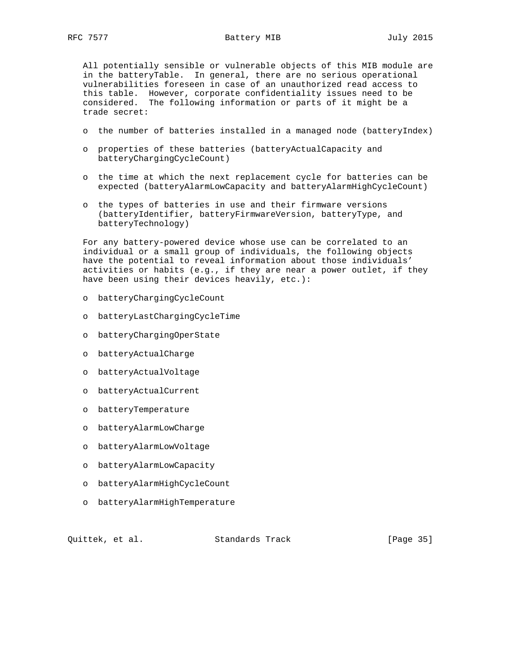All potentially sensible or vulnerable objects of this MIB module are in the batteryTable. In general, there are no serious operational vulnerabilities foreseen in case of an unauthorized read access to this table. However, corporate confidentiality issues need to be considered. The following information or parts of it might be a trade secret:

- o the number of batteries installed in a managed node (batteryIndex)
- o properties of these batteries (batteryActualCapacity and batteryChargingCycleCount)
- o the time at which the next replacement cycle for batteries can be expected (batteryAlarmLowCapacity and batteryAlarmHighCycleCount)
- o the types of batteries in use and their firmware versions (batteryIdentifier, batteryFirmwareVersion, batteryType, and batteryTechnology)

 For any battery-powered device whose use can be correlated to an individual or a small group of individuals, the following objects have the potential to reveal information about those individuals' activities or habits (e.g., if they are near a power outlet, if they have been using their devices heavily, etc.):

- o batteryChargingCycleCount
- o batteryLastChargingCycleTime
- o batteryChargingOperState
- o batteryActualCharge
- o batteryActualVoltage
- o batteryActualCurrent
- o batteryTemperature
- o batteryAlarmLowCharge
- o batteryAlarmLowVoltage
- o batteryAlarmLowCapacity
- o batteryAlarmHighCycleCount
- o batteryAlarmHighTemperature

Quittek, et al. Standards Track [Page 35]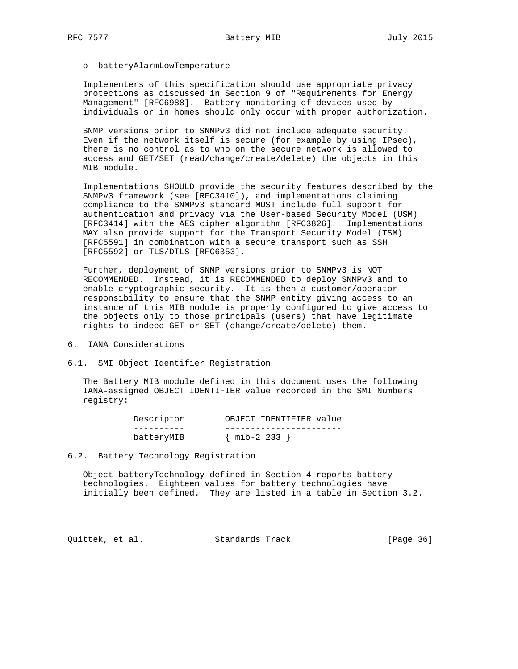### o batteryAlarmLowTemperature

 Implementers of this specification should use appropriate privacy protections as discussed in Section 9 of "Requirements for Energy Management" [RFC6988]. Battery monitoring of devices used by individuals or in homes should only occur with proper authorization.

 SNMP versions prior to SNMPv3 did not include adequate security. Even if the network itself is secure (for example by using IPsec), there is no control as to who on the secure network is allowed to access and GET/SET (read/change/create/delete) the objects in this MIB module.

 Implementations SHOULD provide the security features described by the SNMPv3 framework (see [RFC3410]), and implementations claiming compliance to the SNMPv3 standard MUST include full support for authentication and privacy via the User-based Security Model (USM) [RFC3414] with the AES cipher algorithm [RFC3826]. Implementations MAY also provide support for the Transport Security Model (TSM) [RFC5591] in combination with a secure transport such as SSH [RFC5592] or TLS/DTLS [RFC6353].

 Further, deployment of SNMP versions prior to SNMPv3 is NOT RECOMMENDED. Instead, it is RECOMMENDED to deploy SNMPv3 and to enable cryptographic security. It is then a customer/operator responsibility to ensure that the SNMP entity giving access to an instance of this MIB module is properly configured to give access to the objects only to those principals (users) that have legitimate rights to indeed GET or SET (change/create/delete) them.

6. IANA Considerations

6.1. SMI Object Identifier Registration

 The Battery MIB module defined in this document uses the following IANA-assigned OBJECT IDENTIFIER value recorded in the SMI Numbers registry:

| Descriptor | OBJECT IDENTIFIER value |
|------------|-------------------------|
|            |                         |
| batteryMIB | $\{$ mib-2 233 $\}$     |

#### 6.2. Battery Technology Registration

 Object batteryTechnology defined in Section 4 reports battery technologies. Eighteen values for battery technologies have initially been defined. They are listed in a table in Section 3.2.

Quittek, et al. Standards Track [Page 36]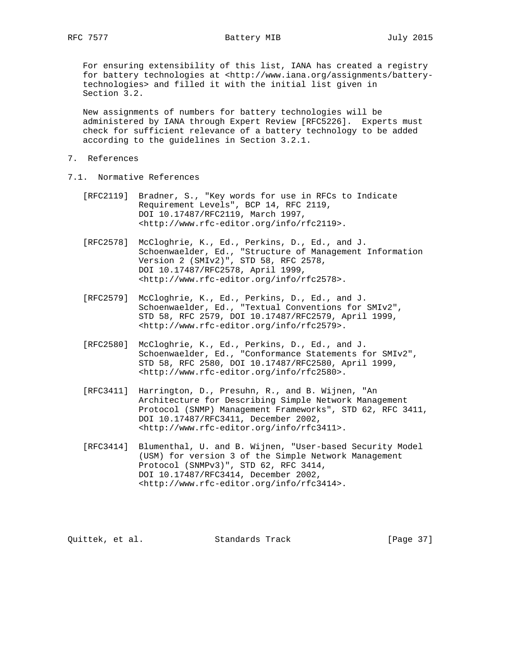# RFC 7577 Battery MIB 3015

 For ensuring extensibility of this list, IANA has created a registry for battery technologies at <http://www.iana.org/assignments/battery technologies> and filled it with the initial list given in Section 3.2.

 New assignments of numbers for battery technologies will be administered by IANA through Expert Review [RFC5226]. Experts must check for sufficient relevance of a battery technology to be added according to the guidelines in Section 3.2.1.

- 7. References
- 7.1. Normative References
	- [RFC2119] Bradner, S., "Key words for use in RFCs to Indicate Requirement Levels", BCP 14, RFC 2119, DOI 10.17487/RFC2119, March 1997, <http://www.rfc-editor.org/info/rfc2119>.
	- [RFC2578] McCloghrie, K., Ed., Perkins, D., Ed., and J. Schoenwaelder, Ed., "Structure of Management Information Version 2 (SMIv2)", STD 58, RFC 2578, DOI 10.17487/RFC2578, April 1999, <http://www.rfc-editor.org/info/rfc2578>.
	- [RFC2579] McCloghrie, K., Ed., Perkins, D., Ed., and J. Schoenwaelder, Ed., "Textual Conventions for SMIv2", STD 58, RFC 2579, DOI 10.17487/RFC2579, April 1999, <http://www.rfc-editor.org/info/rfc2579>.
	- [RFC2580] McCloghrie, K., Ed., Perkins, D., Ed., and J. Schoenwaelder, Ed., "Conformance Statements for SMIv2", STD 58, RFC 2580, DOI 10.17487/RFC2580, April 1999, <http://www.rfc-editor.org/info/rfc2580>.
	- [RFC3411] Harrington, D., Presuhn, R., and B. Wijnen, "An Architecture for Describing Simple Network Management Protocol (SNMP) Management Frameworks", STD 62, RFC 3411, DOI 10.17487/RFC3411, December 2002, <http://www.rfc-editor.org/info/rfc3411>.
	- [RFC3414] Blumenthal, U. and B. Wijnen, "User-based Security Model (USM) for version 3 of the Simple Network Management Protocol (SNMPv3)", STD 62, RFC 3414, DOI 10.17487/RFC3414, December 2002, <http://www.rfc-editor.org/info/rfc3414>.

Quittek, et al. Standards Track [Page 37]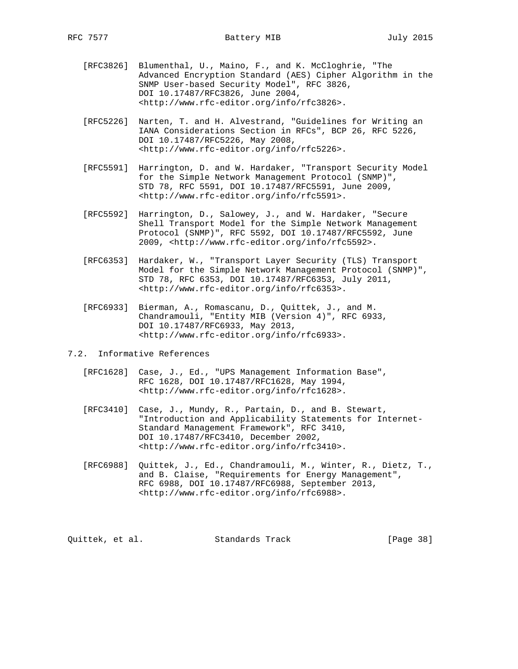- [RFC3826] Blumenthal, U., Maino, F., and K. McCloghrie, "The Advanced Encryption Standard (AES) Cipher Algorithm in the SNMP User-based Security Model", RFC 3826, DOI 10.17487/RFC3826, June 2004, <http://www.rfc-editor.org/info/rfc3826>.
- [RFC5226] Narten, T. and H. Alvestrand, "Guidelines for Writing an IANA Considerations Section in RFCs", BCP 26, RFC 5226, DOI 10.17487/RFC5226, May 2008, <http://www.rfc-editor.org/info/rfc5226>.
- [RFC5591] Harrington, D. and W. Hardaker, "Transport Security Model for the Simple Network Management Protocol (SNMP)", STD 78, RFC 5591, DOI 10.17487/RFC5591, June 2009, <http://www.rfc-editor.org/info/rfc5591>.
- [RFC5592] Harrington, D., Salowey, J., and W. Hardaker, "Secure Shell Transport Model for the Simple Network Management Protocol (SNMP)", RFC 5592, DOI 10.17487/RFC5592, June 2009, <http://www.rfc-editor.org/info/rfc5592>.
- [RFC6353] Hardaker, W., "Transport Layer Security (TLS) Transport Model for the Simple Network Management Protocol (SNMP)", STD 78, RFC 6353, DOI 10.17487/RFC6353, July 2011, <http://www.rfc-editor.org/info/rfc6353>.
- [RFC6933] Bierman, A., Romascanu, D., Quittek, J., and M. Chandramouli, "Entity MIB (Version 4)", RFC 6933, DOI 10.17487/RFC6933, May 2013, <http://www.rfc-editor.org/info/rfc6933>.
- 7.2. Informative References
	- [RFC1628] Case, J., Ed., "UPS Management Information Base", RFC 1628, DOI 10.17487/RFC1628, May 1994, <http://www.rfc-editor.org/info/rfc1628>.
	- [RFC3410] Case, J., Mundy, R., Partain, D., and B. Stewart, "Introduction and Applicability Statements for Internet- Standard Management Framework", RFC 3410, DOI 10.17487/RFC3410, December 2002, <http://www.rfc-editor.org/info/rfc3410>.
	- [RFC6988] Quittek, J., Ed., Chandramouli, M., Winter, R., Dietz, T., and B. Claise, "Requirements for Energy Management", RFC 6988, DOI 10.17487/RFC6988, September 2013, <http://www.rfc-editor.org/info/rfc6988>.

Quittek, et al. Standards Track [Page 38]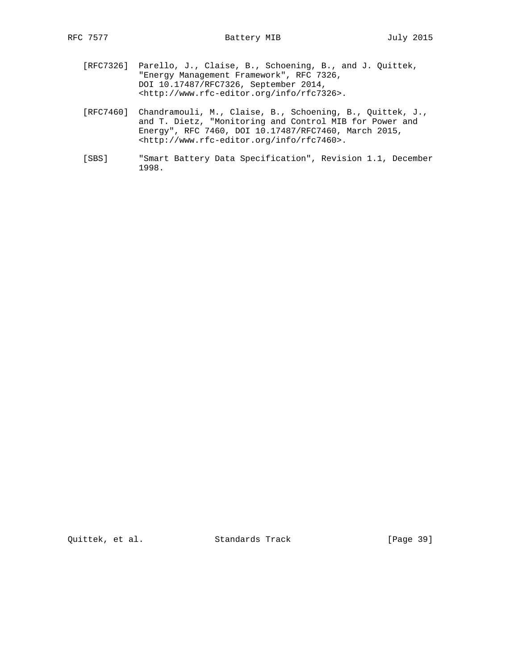- [RFC7326] Parello, J., Claise, B., Schoening, B., and J. Quittek, "Energy Management Framework", RFC 7326, DOI 10.17487/RFC7326, September 2014, <http://www.rfc-editor.org/info/rfc7326>.
- [RFC7460] Chandramouli, M., Claise, B., Schoening, B., Quittek, J., and T. Dietz, "Monitoring and Control MIB for Power and Energy", RFC 7460, DOI 10.17487/RFC7460, March 2015, <http://www.rfc-editor.org/info/rfc7460>.
- [SBS] "Smart Battery Data Specification", Revision 1.1, December 1998.

Quittek, et al. Standards Track [Page 39]